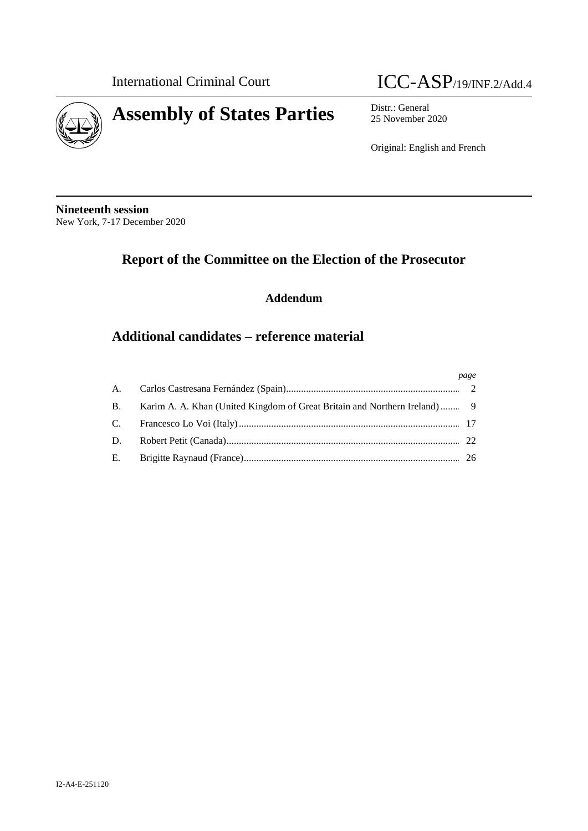

# International Criminal Court **ICC-ASP**/19/INF.2/Add.4

25 November 2020

Original: English and French

**Nineteenth session** New York, 7-17 December 2020

# **Report of the Committee on the Election of the Prosecutor**

**Addendum**

## **Additional candidates – reference material**

|                                                                              | page |
|------------------------------------------------------------------------------|------|
|                                                                              |      |
| B. Karim A. A. Khan (United Kingdom of Great Britain and Northern Ireland) 9 |      |
|                                                                              |      |
|                                                                              |      |
|                                                                              |      |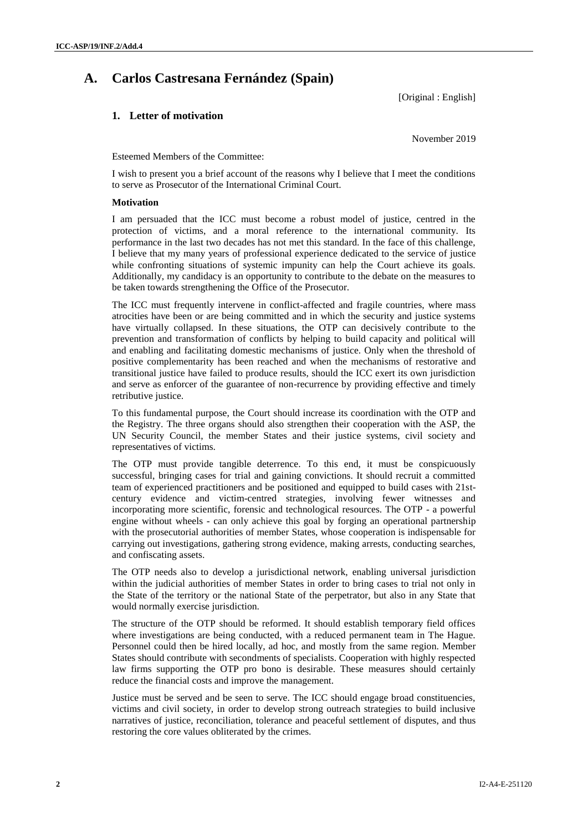## **A. Carlos Castresana Fernández (Spain)**

[Original : English]

#### **1. Letter of motivation**

November 2019

Esteemed Members of the Committee:

I wish to present you a brief account of the reasons why I believe that I meet the conditions to serve as Prosecutor of the International Criminal Court.

#### **Motivation**

I am persuaded that the ICC must become a robust model of justice, centred in the protection of victims, and a moral reference to the international community. Its performance in the last two decades has not met this standard. In the face of this challenge, I believe that my many years of professional experience dedicated to the service of justice while confronting situations of systemic impunity can help the Court achieve its goals. Additionally, my candidacy is an opportunity to contribute to the debate on the measures to be taken towards strengthening the Office of the Prosecutor.

The ICC must frequently intervene in conflict-affected and fragile countries, where mass atrocities have been or are being committed and in which the security and justice systems have virtually collapsed. In these situations, the OTP can decisively contribute to the prevention and transformation of conflicts by helping to build capacity and political will and enabling and facilitating domestic mechanisms of justice. Only when the threshold of positive complementarity has been reached and when the mechanisms of restorative and transitional justice have failed to produce results, should the ICC exert its own jurisdiction and serve as enforcer of the guarantee of non-recurrence by providing effective and timely retributive justice.

To this fundamental purpose, the Court should increase its coordination with the OTP and the Registry. The three organs should also strengthen their cooperation with the ASP, the UN Security Council, the member States and their justice systems, civil society and representatives of victims.

The OTP must provide tangible deterrence. To this end, it must be conspicuously successful, bringing cases for trial and gaining convictions. It should recruit a committed team of experienced practitioners and be positioned and equipped to build cases with 21stcentury evidence and victim-centred strategies, involving fewer witnesses and incorporating more scientific, forensic and technological resources. The OTP - a powerful engine without wheels - can only achieve this goal by forging an operational partnership with the prosecutorial authorities of member States, whose cooperation is indispensable for carrying out investigations, gathering strong evidence, making arrests, conducting searches, and confiscating assets.

The OTP needs also to develop a jurisdictional network, enabling universal jurisdiction within the judicial authorities of member States in order to bring cases to trial not only in the State of the territory or the national State of the perpetrator, but also in any State that would normally exercise jurisdiction.

The structure of the OTP should be reformed. It should establish temporary field offices where investigations are being conducted, with a reduced permanent team in The Hague. Personnel could then be hired locally, ad hoc, and mostly from the same region. Member States should contribute with secondments of specialists. Cooperation with highly respected law firms supporting the OTP pro bono is desirable. These measures should certainly reduce the financial costs and improve the management.

Justice must be served and be seen to serve. The ICC should engage broad constituencies, victims and civil society, in order to develop strong outreach strategies to build inclusive narratives of justice, reconciliation, tolerance and peaceful settlement of disputes, and thus restoring the core values obliterated by the crimes.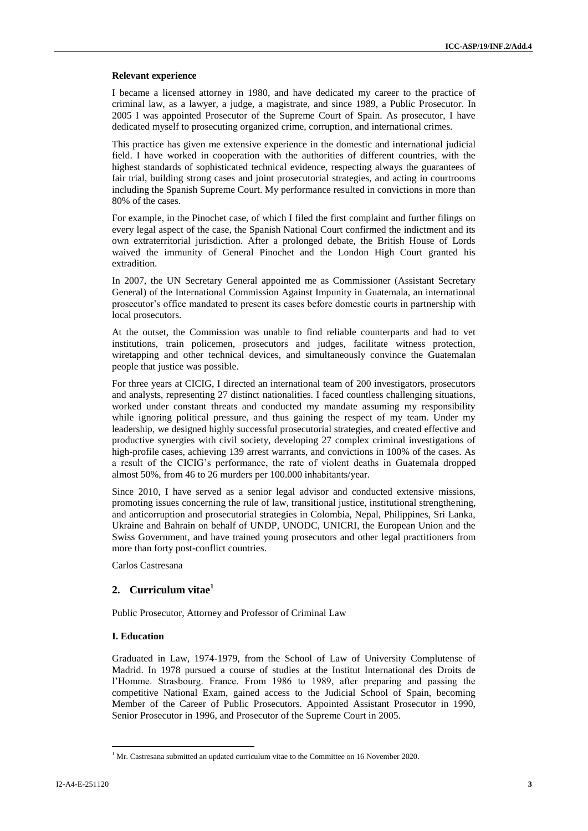#### **Relevant experience**

I became a licensed attorney in 1980, and have dedicated my career to the practice of criminal law, as a lawyer, a judge, a magistrate, and since 1989, a Public Prosecutor. In 2005 I was appointed Prosecutor of the Supreme Court of Spain. As prosecutor, I have dedicated myself to prosecuting organized crime, corruption, and international crimes.

This practice has given me extensive experience in the domestic and international judicial field. I have worked in cooperation with the authorities of different countries, with the highest standards of sophisticated technical evidence, respecting always the guarantees of fair trial, building strong cases and joint prosecutorial strategies, and acting in courtrooms including the Spanish Supreme Court. My performance resulted in convictions in more than 80% of the cases.

For example, in the Pinochet case, of which I filed the first complaint and further filings on every legal aspect of the case, the Spanish National Court confirmed the indictment and its own extraterritorial jurisdiction. After a prolonged debate, the British House of Lords waived the immunity of General Pinochet and the London High Court granted his extradition.

In 2007, the UN Secretary General appointed me as Commissioner (Assistant Secretary General) of the International Commission Against Impunity in Guatemala, an international prosecutor's office mandated to present its cases before domestic courts in partnership with local prosecutors.

At the outset, the Commission was unable to find reliable counterparts and had to vet institutions, train policemen, prosecutors and judges, facilitate witness protection, wiretapping and other technical devices, and simultaneously convince the Guatemalan people that justice was possible.

For three years at CICIG, I directed an international team of 200 investigators, prosecutors and analysts, representing 27 distinct nationalities. I faced countless challenging situations, worked under constant threats and conducted my mandate assuming my responsibility while ignoring political pressure, and thus gaining the respect of my team. Under my leadership, we designed highly successful prosecutorial strategies, and created effective and productive synergies with civil society, developing 27 complex criminal investigations of high-profile cases, achieving 139 arrest warrants, and convictions in 100% of the cases. As a result of the CICIG's performance, the rate of violent deaths in Guatemala dropped almost 50%, from 46 to 26 murders per 100.000 inhabitants/year.

Since 2010, I have served as a senior legal advisor and conducted extensive missions, promoting issues concerning the rule of law, transitional justice, institutional strengthening, and anticorruption and prosecutorial strategies in Colombia, Nepal, Philippines, Sri Lanka, Ukraine and Bahrain on behalf of UNDP, UNODC, UNICRI, the European Union and the Swiss Government, and have trained young prosecutors and other legal practitioners from more than forty post-conflict countries.

Carlos Castresana

#### **2. Curriculum vitae<sup>1</sup>**

Public Prosecutor, Attorney and Professor of Criminal Law

#### **I. Education**

Graduated in Law, 1974-1979, from the School of Law of University Complutense of Madrid. In 1978 pursued a course of studies at the Institut International des Droits de l'Homme. Strasbourg. France. From 1986 to 1989, after preparing and passing the competitive National Exam, gained access to the Judicial School of Spain, becoming Member of the Career of Public Prosecutors. Appointed Assistant Prosecutor in 1990, Senior Prosecutor in 1996, and Prosecutor of the Supreme Court in 2005.

 $\overline{\phantom{a}}$ 

 $1$  Mr. Castresana submitted an updated curriculum vitae to the Committee on 16 November 2020.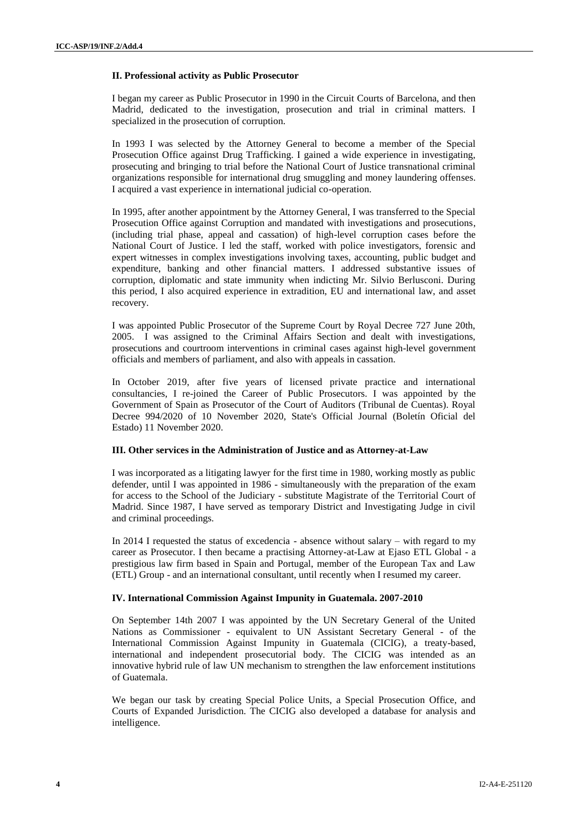#### **II. Professional activity as Public Prosecutor**

I began my career as Public Prosecutor in 1990 in the Circuit Courts of Barcelona, and then Madrid, dedicated to the investigation, prosecution and trial in criminal matters. I specialized in the prosecution of corruption.

In 1993 I was selected by the Attorney General to become a member of the Special Prosecution Office against Drug Trafficking. I gained a wide experience in investigating, prosecuting and bringing to trial before the National Court of Justice transnational criminal organizations responsible for international drug smuggling and money laundering offenses. I acquired a vast experience in international judicial co-operation.

In 1995, after another appointment by the Attorney General, I was transferred to the Special Prosecution Office against Corruption and mandated with investigations and prosecutions, (including trial phase, appeal and cassation) of high-level corruption cases before the National Court of Justice. I led the staff, worked with police investigators, forensic and expert witnesses in complex investigations involving taxes, accounting, public budget and expenditure, banking and other financial matters. I addressed substantive issues of corruption, diplomatic and state immunity when indicting Mr. Silvio Berlusconi. During this period, I also acquired experience in extradition, EU and international law, and asset recovery.

I was appointed Public Prosecutor of the Supreme Court by Royal Decree 727 June 20th, 2005. I was assigned to the Criminal Affairs Section and dealt with investigations, prosecutions and courtroom interventions in criminal cases against high-level government officials and members of parliament, and also with appeals in cassation.

In October 2019, after five years of licensed private practice and international consultancies, I re-joined the Career of Public Prosecutors. I was appointed by the Government of Spain as Prosecutor of the Court of Auditors (Tribunal de Cuentas). Royal Decree 994/2020 of 10 November 2020, State's Official Journal (Boletín Oficial del Estado) 11 November 2020.

#### **III. Other services in the Administration of Justice and as Attorney-at-Law**

I was incorporated as a litigating lawyer for the first time in 1980, working mostly as public defender, until I was appointed in 1986 - simultaneously with the preparation of the exam for access to the School of the Judiciary - substitute Magistrate of the Territorial Court of Madrid. Since 1987, I have served as temporary District and Investigating Judge in civil and criminal proceedings.

In 2014 I requested the status of excedencia - absence without salary – with regard to my career as Prosecutor. I then became a practising Attorney-at-Law at Ejaso ETL Global - a prestigious law firm based in Spain and Portugal, member of the European Tax and Law (ETL) Group - and an international consultant, until recently when I resumed my career.

#### **IV. International Commission Against Impunity in Guatemala. 2007-2010**

On September 14th 2007 I was appointed by the UN Secretary General of the United Nations as Commissioner - equivalent to UN Assistant Secretary General - of the International Commission Against Impunity in Guatemala (CICIG), a treaty-based, international and independent prosecutorial body. The CICIG was intended as an innovative hybrid rule of law UN mechanism to strengthen the law enforcement institutions of Guatemala.

We began our task by creating Special Police Units, a Special Prosecution Office, and Courts of Expanded Jurisdiction. The CICIG also developed a database for analysis and intelligence.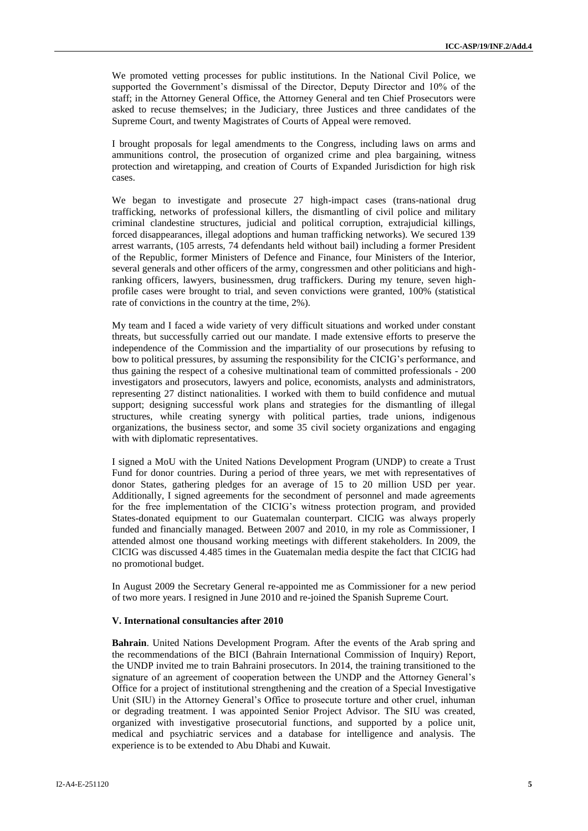We promoted vetting processes for public institutions. In the National Civil Police, we supported the Government's dismissal of the Director, Deputy Director and 10% of the staff; in the Attorney General Office, the Attorney General and ten Chief Prosecutors were asked to recuse themselves; in the Judiciary, three Justices and three candidates of the Supreme Court, and twenty Magistrates of Courts of Appeal were removed.

I brought proposals for legal amendments to the Congress, including laws on arms and ammunitions control, the prosecution of organized crime and plea bargaining, witness protection and wiretapping, and creation of Courts of Expanded Jurisdiction for high risk cases.

We began to investigate and prosecute 27 high-impact cases (trans-national drug trafficking, networks of professional killers, the dismantling of civil police and military criminal clandestine structures, judicial and political corruption, extrajudicial killings, forced disappearances, illegal adoptions and human trafficking networks). We secured 139 arrest warrants, (105 arrests, 74 defendants held without bail) including a former President of the Republic, former Ministers of Defence and Finance, four Ministers of the Interior, several generals and other officers of the army, congressmen and other politicians and highranking officers, lawyers, businessmen, drug traffickers. During my tenure, seven highprofile cases were brought to trial, and seven convictions were granted, 100% (statistical rate of convictions in the country at the time, 2%).

My team and I faced a wide variety of very difficult situations and worked under constant threats, but successfully carried out our mandate. I made extensive efforts to preserve the independence of the Commission and the impartiality of our prosecutions by refusing to bow to political pressures, by assuming the responsibility for the CICIG's performance, and thus gaining the respect of a cohesive multinational team of committed professionals - 200 investigators and prosecutors, lawyers and police, economists, analysts and administrators, representing 27 distinct nationalities. I worked with them to build confidence and mutual support; designing successful work plans and strategies for the dismantling of illegal structures, while creating synergy with political parties, trade unions, indigenous organizations, the business sector, and some 35 civil society organizations and engaging with with diplomatic representatives.

I signed a MoU with the United Nations Development Program (UNDP) to create a Trust Fund for donor countries. During a period of three years, we met with representatives of donor States, gathering pledges for an average of 15 to 20 million USD per year. Additionally, I signed agreements for the secondment of personnel and made agreements for the free implementation of the CICIG's witness protection program, and provided States-donated equipment to our Guatemalan counterpart. CICIG was always properly funded and financially managed. Between 2007 and 2010, in my role as Commissioner, I attended almost one thousand working meetings with different stakeholders. In 2009, the CICIG was discussed 4.485 times in the Guatemalan media despite the fact that CICIG had no promotional budget.

In August 2009 the Secretary General re-appointed me as Commissioner for a new period of two more years. I resigned in June 2010 and re-joined the Spanish Supreme Court.

#### **V. International consultancies after 2010**

**Bahrain**. United Nations Development Program. After the events of the Arab spring and the recommendations of the BICI (Bahrain International Commission of Inquiry) Report, the UNDP invited me to train Bahraini prosecutors. In 2014, the training transitioned to the signature of an agreement of cooperation between the UNDP and the Attorney General's Office for a project of institutional strengthening and the creation of a Special Investigative Unit (SIU) in the Attorney General's Office to prosecute torture and other cruel, inhuman or degrading treatment. I was appointed Senior Project Advisor. The SIU was created, organized with investigative prosecutorial functions, and supported by a police unit, medical and psychiatric services and a database for intelligence and analysis. The experience is to be extended to Abu Dhabi and Kuwait.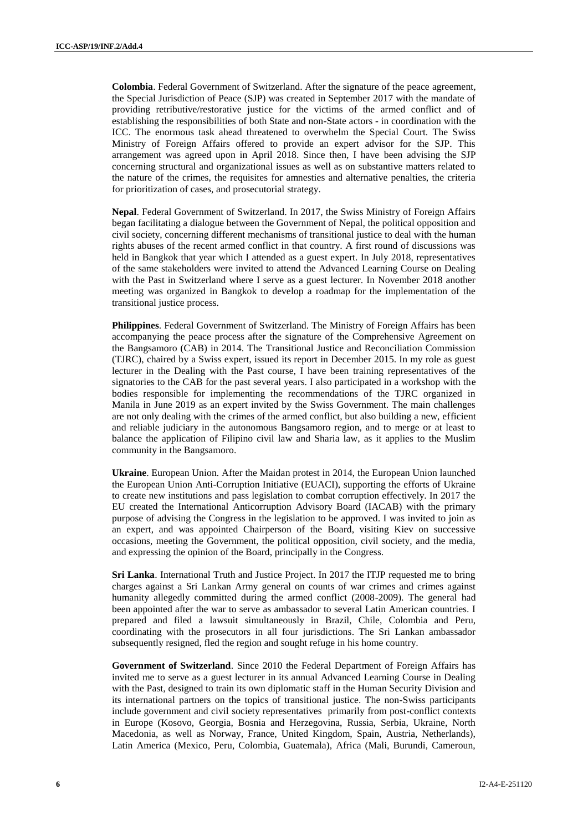**Colombia**. Federal Government of Switzerland. After the signature of the peace agreement, the Special Jurisdiction of Peace (SJP) was created in September 2017 with the mandate of providing retributive/restorative justice for the victims of the armed conflict and of establishing the responsibilities of both State and non-State actors - in coordination with the ICC. The enormous task ahead threatened to overwhelm the Special Court. The Swiss Ministry of Foreign Affairs offered to provide an expert advisor for the SJP. This arrangement was agreed upon in April 2018. Since then, I have been advising the SJP concerning structural and organizational issues as well as on substantive matters related to the nature of the crimes, the requisites for amnesties and alternative penalties, the criteria for prioritization of cases, and prosecutorial strategy.

**Nepal**. Federal Government of Switzerland. In 2017, the Swiss Ministry of Foreign Affairs began facilitating a dialogue between the Government of Nepal, the political opposition and civil society, concerning different mechanisms of transitional justice to deal with the human rights abuses of the recent armed conflict in that country. A first round of discussions was held in Bangkok that year which I attended as a guest expert. In July 2018, representatives of the same stakeholders were invited to attend the Advanced Learning Course on Dealing with the Past in Switzerland where I serve as a guest lecturer. In November 2018 another meeting was organized in Bangkok to develop a roadmap for the implementation of the transitional justice process.

**Philippines**. Federal Government of Switzerland. The Ministry of Foreign Affairs has been accompanying the peace process after the signature of the Comprehensive Agreement on the Bangsamoro (CAB) in 2014. The Transitional Justice and Reconciliation Commission (TJRC), chaired by a Swiss expert, issued its report in December 2015. In my role as guest lecturer in the Dealing with the Past course, I have been training representatives of the signatories to the CAB for the past several years. I also participated in a workshop with the bodies responsible for implementing the recommendations of the TJRC organized in Manila in June 2019 as an expert invited by the Swiss Government. The main challenges are not only dealing with the crimes of the armed conflict, but also building a new, efficient and reliable judiciary in the autonomous Bangsamoro region, and to merge or at least to balance the application of Filipino civil law and Sharia law, as it applies to the Muslim community in the Bangsamoro.

**Ukraine**. European Union. After the Maidan protest in 2014, the European Union launched the European Union Anti-Corruption Initiative (EUACI), supporting the efforts of Ukraine to create new institutions and pass legislation to combat corruption effectively. In 2017 the EU created the International Anticorruption Advisory Board (IACAB) with the primary purpose of advising the Congress in the legislation to be approved. I was invited to join as an expert, and was appointed Chairperson of the Board, visiting Kiev on successive occasions, meeting the Government, the political opposition, civil society, and the media, and expressing the opinion of the Board, principally in the Congress.

**Sri Lanka**. International Truth and Justice Project. In 2017 the ITJP requested me to bring charges against a Sri Lankan Army general on counts of war crimes and crimes against humanity allegedly committed during the armed conflict (2008-2009). The general had been appointed after the war to serve as ambassador to several Latin American countries. I prepared and filed a lawsuit simultaneously in Brazil, Chile, Colombia and Peru, coordinating with the prosecutors in all four jurisdictions. The Sri Lankan ambassador subsequently resigned, fled the region and sought refuge in his home country.

**Government of Switzerland**. Since 2010 the Federal Department of Foreign Affairs has invited me to serve as a guest lecturer in its annual Advanced Learning Course in Dealing with the Past, designed to train its own diplomatic staff in the Human Security Division and its international partners on the topics of transitional justice. The non-Swiss participants include government and civil society representatives primarily from post-conflict contexts in Europe (Kosovo, Georgia, Bosnia and Herzegovina, Russia, Serbia, Ukraine, North Macedonia, as well as Norway, France, United Kingdom, Spain, Austria, Netherlands), Latin America (Mexico, Peru, Colombia, Guatemala), Africa (Mali, Burundi, Cameroun,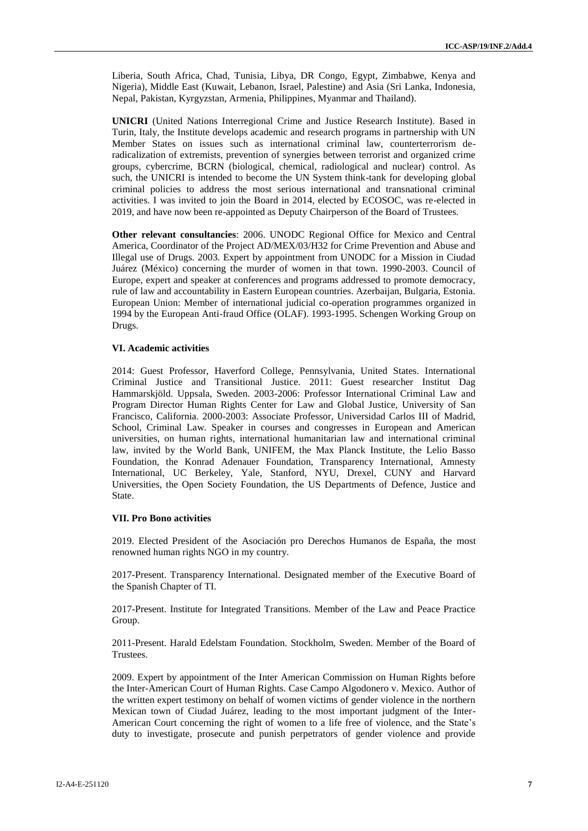Liberia, South Africa, Chad, Tunisia, Libya, DR Congo, Egypt, Zimbabwe, Kenya and Nigeria), Middle East (Kuwait, Lebanon, Israel, Palestine) and Asia (Sri Lanka, Indonesia, Nepal, Pakistan, Kyrgyzstan, Armenia, Philippines, Myanmar and Thailand).

**UNICRI** (United Nations Interregional Crime and Justice Research Institute). Based in Turin, Italy, the Institute develops academic and research programs in partnership with UN Member States on issues such as international criminal law, counterterrorism deradicalization of extremists, prevention of synergies between terrorist and organized crime groups, cybercrime, BCRN (biological, chemical, radiological and nuclear) control. As such, the UNICRI is intended to become the UN System think-tank for developing global criminal policies to address the most serious international and transnational criminal activities. I was invited to join the Board in 2014, elected by ECOSOC, was re-elected in 2019, and have now been re-appointed as Deputy Chairperson of the Board of Trustees.

**Other relevant consultancies**: 2006. UNODC Regional Office for Mexico and Central America, Coordinator of the Project AD/MEX/03/H32 for Crime Prevention and Abuse and Illegal use of Drugs. 2003. Expert by appointment from UNODC for a Mission in Ciudad Juárez (México) concerning the murder of women in that town. 1990-2003. Council of Europe, expert and speaker at conferences and programs addressed to promote democracy, rule of law and accountability in Eastern European countries. Azerbaijan, Bulgaria, Estonia. European Union: Member of international judicial co-operation programmes organized in 1994 by the European Anti-fraud Office (OLAF). 1993-1995. Schengen Working Group on Drugs.

#### **VI. Academic activities**

2014: Guest Professor, Haverford College, Pennsylvania, United States. International Criminal Justice and Transitional Justice. 2011: Guest researcher Institut Dag Hammarskjöld. Uppsala, Sweden. 2003-2006: Professor International Criminal Law and Program Director Human Rights Center for Law and Global Justice, University of San Francisco, California. 2000-2003: Associate Professor, Universidad Carlos III of Madrid, School, Criminal Law. Speaker in courses and congresses in European and American universities, on human rights, international humanitarian law and international criminal law, invited by the World Bank, UNIFEM, the Max Planck Institute, the Lelio Basso Foundation, the Konrad Adenauer Foundation, Transparency International, Amnesty International, UC Berkeley, Yale, Stanford, NYU, Drexel, CUNY and Harvard Universities, the Open Society Foundation, the US Departments of Defence, Justice and State.

#### **VII. Pro Bono activities**

2019. Elected President of the Asociación pro Derechos Humanos de España, the most renowned human rights NGO in my country.

2017-Present. Transparency International. Designated member of the Executive Board of the Spanish Chapter of TI.

2017-Present. Institute for Integrated Transitions. Member of the Law and Peace Practice Group.

2011-Present. Harald Edelstam Foundation. Stockholm, Sweden. Member of the Board of Trustees.

2009. Expert by appointment of the Inter American Commission on Human Rights before the Inter-American Court of Human Rights. Case Campo Algodonero v. Mexico. Author of the written expert testimony on behalf of women victims of gender violence in the northern Mexican town of Ciudad Juárez, leading to the most important judgment of the Inter-American Court concerning the right of women to a life free of violence, and the State's duty to investigate, prosecute and punish perpetrators of gender violence and provide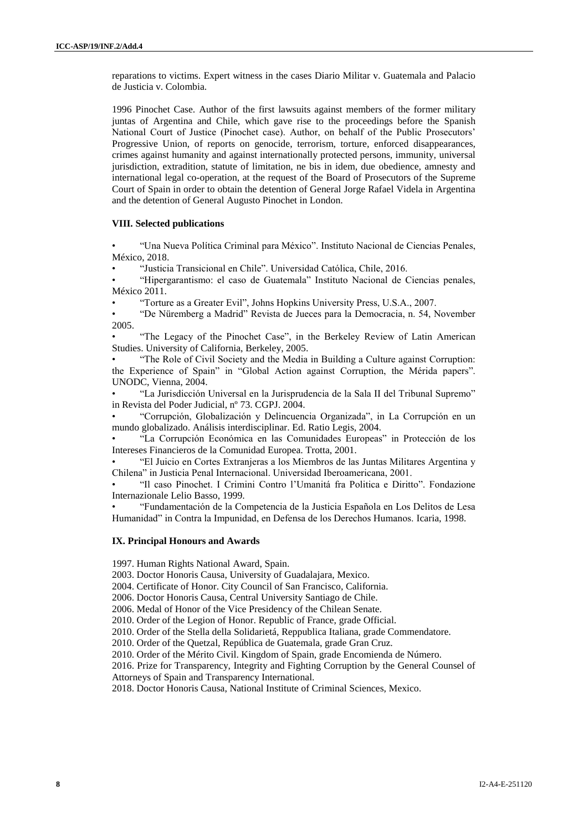reparations to victims. Expert witness in the cases Diario Militar v. Guatemala and Palacio de Justicia v. Colombia.

1996 Pinochet Case. Author of the first lawsuits against members of the former military juntas of Argentina and Chile, which gave rise to the proceedings before the Spanish National Court of Justice (Pinochet case). Author, on behalf of the Public Prosecutors' Progressive Union, of reports on genocide, terrorism, torture, enforced disappearances, crimes against humanity and against internationally protected persons, immunity, universal jurisdiction, extradition, statute of limitation, ne bis in idem, due obedience, amnesty and international legal co-operation, at the request of the Board of Prosecutors of the Supreme Court of Spain in order to obtain the detention of General Jorge Rafael Videla in Argentina and the detention of General Augusto Pinochet in London.

#### **VIII. Selected publications**

• "Una Nueva Política Criminal para México". Instituto Nacional de Ciencias Penales, México, 2018.

• "Justicia Transicional en Chile". Universidad Católica, Chile, 2016.

• "Hipergarantismo: el caso de Guatemala" Instituto Nacional de Ciencias penales, México 2011.

• "Torture as a Greater Evil", Johns Hopkins University Press, U.S.A., 2007.

• "De Nüremberg a Madrid" Revista de Jueces para la Democracia, n. 54, November 2005.

• "The Legacy of the Pinochet Case", in the Berkeley Review of Latin American Studies. University of California, Berkeley, 2005.

• "The Role of Civil Society and the Media in Building a Culture against Corruption: the Experience of Spain" in "Global Action against Corruption, the Mérida papers". UNODC, Vienna, 2004.

• "La Jurisdicción Universal en la Jurisprudencia de la Sala II del Tribunal Supremo" in Revista del Poder Judicial, nº 73. CGPJ. 2004.

• "Corrupción, Globalización y Delincuencia Organizada", in La Corrupción en un mundo globalizado. Análisis interdisciplinar. Ed. Ratio Legis, 2004.

• "La Corrupción Económica en las Comunidades Europeas" in Protección de los Intereses Financieros de la Comunidad Europea. Trotta, 2001.

• "El Juicio en Cortes Extranjeras a los Miembros de las Juntas Militares Argentina y Chilena" in Justicia Penal Internacional. Universidad Iberoamericana, 2001.

• "Il caso Pinochet. I Crimini Contro l'Umanitá fra Politica e Diritto". Fondazione Internazionale Lelio Basso, 1999.

• "Fundamentación de la Competencia de la Justicia Española en Los Delitos de Lesa Humanidad" in Contra la Impunidad, en Defensa de los Derechos Humanos. Icaria, 1998.

#### **IX. Principal Honours and Awards**

1997. Human Rights National Award, Spain.

2003. Doctor Honoris Causa, University of Guadalajara, Mexico.

2004. Certificate of Honor. City Council of San Francisco, California.

2006. Doctor Honoris Causa, Central University Santiago de Chile.

2006. Medal of Honor of the Vice Presidency of the Chilean Senate.

2010. Order of the Legion of Honor. Republic of France, grade Official.

2010. Order of the Stella della Solidarietá, Reppublica Italiana, grade Commendatore.

2010. Order of the Quetzal, República de Guatemala, grade Gran Cruz.

2010. Order of the Mérito Civil. Kingdom of Spain, grade Encomienda de Número.

2016. Prize for Transparency, Integrity and Fighting Corruption by the General Counsel of Attorneys of Spain and Transparency International.

2018. Doctor Honoris Causa, National Institute of Criminal Sciences, Mexico.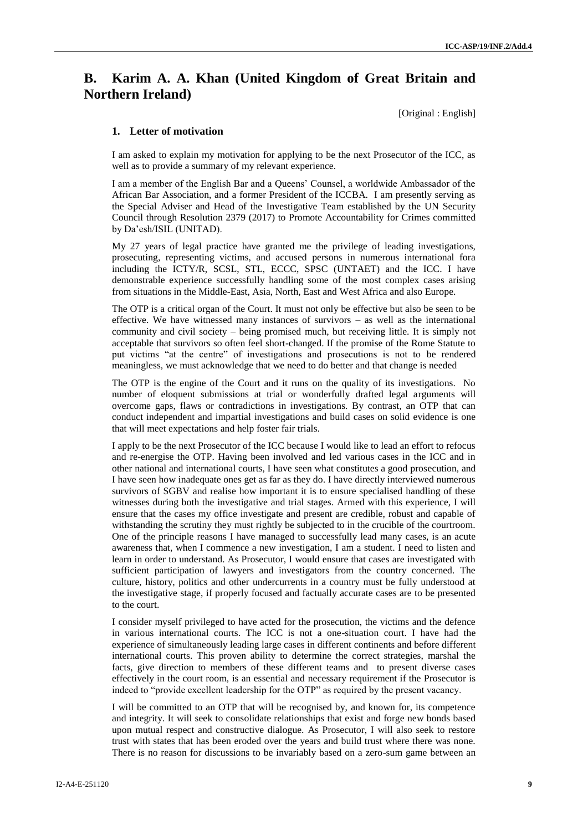### **B. Karim A. A. Khan (United Kingdom of Great Britain and Northern Ireland)**

[Original : English]

#### **1. Letter of motivation**

I am asked to explain my motivation for applying to be the next Prosecutor of the ICC, as well as to provide a summary of my relevant experience.

I am a member of the English Bar and a Queens' Counsel, a worldwide Ambassador of the African Bar Association, and a former President of the ICCBA. I am presently serving as the Special Adviser and Head of the Investigative Team established by the UN Security Council through Resolution 2379 (2017) to Promote Accountability for Crimes committed by Da'esh/ISIL (UNITAD).

My 27 years of legal practice have granted me the privilege of leading investigations, prosecuting, representing victims, and accused persons in numerous international fora including the ICTY/R, SCSL, STL, ECCC, SPSC (UNTAET) and the ICC. I have demonstrable experience successfully handling some of the most complex cases arising from situations in the Middle-East, Asia, North, East and West Africa and also Europe.

The OTP is a critical organ of the Court. It must not only be effective but also be seen to be effective. We have witnessed many instances of survivors – as well as the international community and civil society – being promised much, but receiving little. It is simply not acceptable that survivors so often feel short-changed. If the promise of the Rome Statute to put victims "at the centre" of investigations and prosecutions is not to be rendered meaningless, we must acknowledge that we need to do better and that change is needed

The OTP is the engine of the Court and it runs on the quality of its investigations. No number of eloquent submissions at trial or wonderfully drafted legal arguments will overcome gaps, flaws or contradictions in investigations. By contrast, an OTP that can conduct independent and impartial investigations and build cases on solid evidence is one that will meet expectations and help foster fair trials.

I apply to be the next Prosecutor of the ICC because I would like to lead an effort to refocus and re-energise the OTP. Having been involved and led various cases in the ICC and in other national and international courts, I have seen what constitutes a good prosecution, and I have seen how inadequate ones get as far as they do. I have directly interviewed numerous survivors of SGBV and realise how important it is to ensure specialised handling of these witnesses during both the investigative and trial stages. Armed with this experience, I will ensure that the cases my office investigate and present are credible, robust and capable of withstanding the scrutiny they must rightly be subjected to in the crucible of the courtroom. One of the principle reasons I have managed to successfully lead many cases, is an acute awareness that, when I commence a new investigation, I am a student. I need to listen and learn in order to understand. As Prosecutor, I would ensure that cases are investigated with sufficient participation of lawyers and investigators from the country concerned. The culture, history, politics and other undercurrents in a country must be fully understood at the investigative stage, if properly focused and factually accurate cases are to be presented to the court.

I consider myself privileged to have acted for the prosecution, the victims and the defence in various international courts. The ICC is not a one-situation court. I have had the experience of simultaneously leading large cases in different continents and before different international courts. This proven ability to determine the correct strategies, marshal the facts, give direction to members of these different teams and to present diverse cases effectively in the court room, is an essential and necessary requirement if the Prosecutor is indeed to "provide excellent leadership for the OTP" as required by the present vacancy.

I will be committed to an OTP that will be recognised by, and known for, its competence and integrity. It will seek to consolidate relationships that exist and forge new bonds based upon mutual respect and constructive dialogue. As Prosecutor, I will also seek to restore trust with states that has been eroded over the years and build trust where there was none. There is no reason for discussions to be invariably based on a zero-sum game between an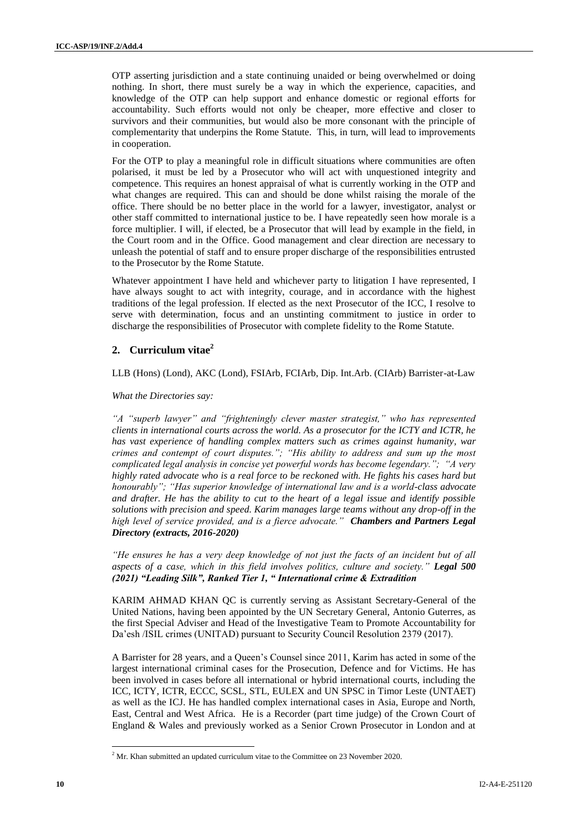OTP asserting jurisdiction and a state continuing unaided or being overwhelmed or doing nothing. In short, there must surely be a way in which the experience, capacities, and knowledge of the OTP can help support and enhance domestic or regional efforts for accountability. Such efforts would not only be cheaper, more effective and closer to survivors and their communities, but would also be more consonant with the principle of complementarity that underpins the Rome Statute. This, in turn, will lead to improvements in cooperation.

For the OTP to play a meaningful role in difficult situations where communities are often polarised, it must be led by a Prosecutor who will act with unquestioned integrity and competence. This requires an honest appraisal of what is currently working in the OTP and what changes are required. This can and should be done whilst raising the morale of the office. There should be no better place in the world for a lawyer, investigator, analyst or other staff committed to international justice to be. I have repeatedly seen how morale is a force multiplier. I will, if elected, be a Prosecutor that will lead by example in the field, in the Court room and in the Office. Good management and clear direction are necessary to unleash the potential of staff and to ensure proper discharge of the responsibilities entrusted to the Prosecutor by the Rome Statute.

Whatever appointment I have held and whichever party to litigation I have represented, I have always sought to act with integrity, courage, and in accordance with the highest traditions of the legal profession. If elected as the next Prosecutor of the ICC, I resolve to serve with determination, focus and an unstinting commitment to justice in order to discharge the responsibilities of Prosecutor with complete fidelity to the Rome Statute.

#### **2. Curriculum vitae<sup>2</sup>**

LLB (Hons) (Lond), AKC (Lond), FSIArb, FCIArb, Dip. Int.Arb. (CIArb) Barrister-at-Law

*What the Directories say:*

*"A "superb lawyer" and "frighteningly clever master strategist," who has represented clients in international courts across the world. As a prosecutor for the ICTY and ICTR, he has vast experience of handling complex matters such as crimes against humanity, war crimes and contempt of court disputes."; "His ability to address and sum up the most complicated legal analysis in concise yet powerful words has become legendary."; "A very highly rated advocate who is a real force to be reckoned with. He fights his cases hard but honourably"; "Has superior knowledge of international law and is a world-class advocate and drafter. He has the ability to cut to the heart of a legal issue and identify possible solutions with precision and speed. Karim manages large teams without any drop-off in the high level of service provided, and is a fierce advocate." Chambers and Partners Legal Directory (extracts, 2016-2020)*

*"He ensures he has a very deep knowledge of not just the facts of an incident but of all aspects of a case, which in this field involves politics, culture and society." Legal 500 (2021) "Leading Silk", Ranked Tier 1, " International crime & Extradition*

KARIM AHMAD KHAN QC is currently serving as Assistant Secretary-General of the United Nations, having been appointed by the UN Secretary General, Antonio Guterres, as the first Special Adviser and Head of the Investigative Team to Promote Accountability for Da'esh /ISIL crimes (UNITAD) pursuant to Security Council Resolution 2379 (2017).

A Barrister for 28 years, and a Queen's Counsel since 2011, Karim has acted in some of the largest international criminal cases for the Prosecution, Defence and for Victims. He has been involved in cases before all international or hybrid international courts, including the ICC, ICTY, ICTR, ECCC, SCSL, STL, EULEX and UN SPSC in Timor Leste (UNTAET) as well as the ICJ. He has handled complex international cases in Asia, Europe and North, East, Central and West Africa. He is a Recorder (part time judge) of the Crown Court of England & Wales and previously worked as a Senior Crown Prosecutor in London and at

 $\overline{\phantom{a}}$ 

 $2^2$  Mr. Khan submitted an updated curriculum vitae to the Committee on 23 November 2020.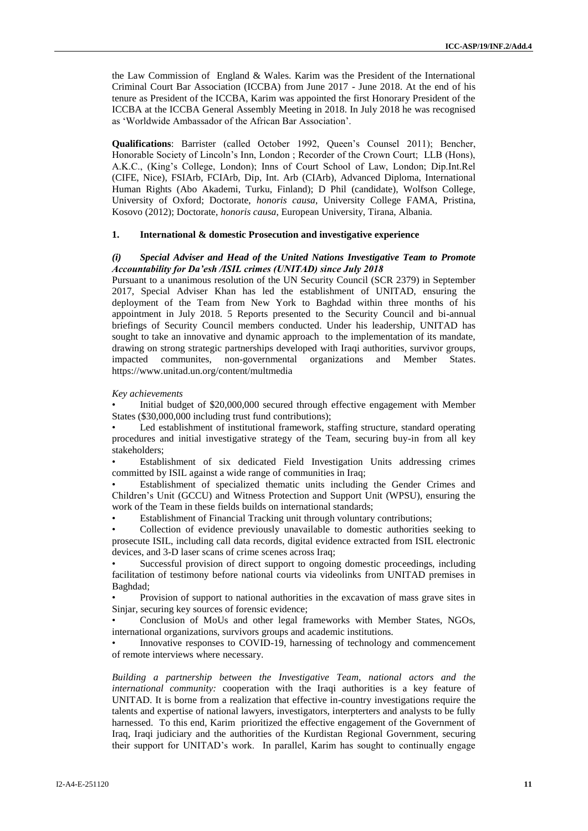the Law Commission of England & Wales. Karim was the President of the International Criminal Court Bar Association (ICCBA) from June 2017 - June 2018. At the end of his tenure as President of the ICCBA, Karim was appointed the first Honorary President of the ICCBA at the ICCBA General Assembly Meeting in 2018. In July 2018 he was recognised as 'Worldwide Ambassador of the African Bar Association'.

**Qualifications**: Barrister (called October 1992, Queen's Counsel 2011); Bencher, Honorable Society of Lincoln's Inn, London; Recorder of the Crown Court; LLB (Hons), A.K.C., (King's College, London); Inns of Court School of Law, London; Dip.Int.Rel (CIFE, Nice), FSIArb, FCIArb, Dip, Int. Arb (CIArb), Advanced Diploma, International Human Rights (Abo Akademi, Turku, Finland); D Phil (candidate), Wolfson College, University of Oxford; Doctorate, *honoris causa*, University College FAMA, Pristina, Kosovo (2012); Doctorate, *honoris causa*, European University, Tirana, Albania.

#### **1. International & domestic Prosecution and investigative experience**

#### *(i) Special Adviser and Head of the United Nations Investigative Team to Promote Accountability for Da'esh /ISIL crimes (UNITAD) since July 2018*

Pursuant to a unanimous resolution of the UN Security Council (SCR 2379) in September 2017, Special Adviser Khan has led the establishment of UNITAD, ensuring the deployment of the Team from New York to Baghdad within three months of his appointment in July 2018. 5 Reports presented to the Security Council and bi-annual briefings of Security Council members conducted. Under his leadership, UNITAD has sought to take an innovative and dynamic approach to the implementation of its mandate, drawing on strong strategic partnerships developed with Iraqi authorities, survivor groups, impacted communites, non-governmental organizations and Member States. impacted communites, non-governmental https://www.unitad.un.org/content/multmedia

*Key achievements*

• Initial budget of \$20,000,000 secured through effective engagement with Member States (\$30,000,000 including trust fund contributions);

Led establishment of institutional framework, staffing structure, standard operating procedures and initial investigative strategy of the Team, securing buy-in from all key stakeholders;

• Establishment of six dedicated Field Investigation Units addressing crimes committed by ISIL against a wide range of communities in Iraq;

• Establishment of specialized thematic units including the Gender Crimes and Children's Unit (GCCU) and Witness Protection and Support Unit (WPSU), ensuring the work of the Team in these fields builds on international standards;

• Establishment of Financial Tracking unit through voluntary contributions;

• Collection of evidence previously unavailable to domestic authorities seeking to prosecute ISIL, including call data records, digital evidence extracted from ISIL electronic devices, and 3-D laser scans of crime scenes across Iraq;

• Successful provision of direct support to ongoing domestic proceedings, including facilitation of testimony before national courts via videolinks from UNITAD premises in Baghdad;

• Provision of support to national authorities in the excavation of mass grave sites in Sinjar, securing key sources of forensic evidence;

• Conclusion of MoUs and other legal frameworks with Member States, NGOs, international organizations, survivors groups and academic institutions.

• Innovative responses to COVID-19, harnessing of technology and commencement of remote interviews where necessary.

*Building a partnership between the Investigative Team, national actors and the international community:* cooperation with the Iraqi authorities is a key feature of UNITAD. It is borne from a realization that effective in-country investigations require the talents and expertise of national lawyers, investigators, interpterters and analysts to be fully harnessed. To this end, Karim prioritized the effective engagement of the Government of Iraq, Iraqi judiciary and the authorities of the Kurdistan Regional Government, securing their support for UNITAD's work. In parallel, Karim has sought to continually engage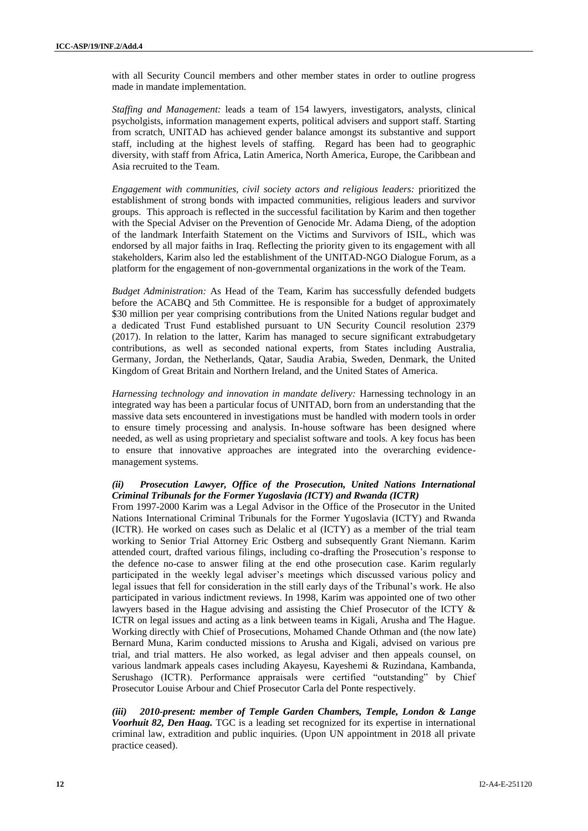with all Security Council members and other member states in order to outline progress made in mandate implementation.

*Staffing and Management:* leads a team of 154 lawyers, investigators, analysts, clinical psycholgists, information management experts, political advisers and support staff. Starting from scratch, UNITAD has achieved gender balance amongst its substantive and support staff, including at the highest levels of staffing. Regard has been had to geographic diversity, with staff from Africa, Latin America, North America, Europe, the Caribbean and Asia recruited to the Team.

*Engagement with communities, civil society actors and religious leaders:* prioritized the establishment of strong bonds with impacted communities, religious leaders and survivor groups. This approach is reflected in the successful facilitation by Karim and then together with the Special Adviser on the Prevention of Genocide Mr. Adama Dieng, of the adoption of the landmark Interfaith Statement on the Victims and Survivors of ISIL, which was endorsed by all major faiths in Iraq. Reflecting the priority given to its engagement with all stakeholders, Karim also led the establishment of the UNITAD-NGO Dialogue Forum, as a platform for the engagement of non-governmental organizations in the work of the Team.

*Budget Administration:* As Head of the Team, Karim has successfully defended budgets before the ACABQ and 5th Committee. He is responsible for a budget of approximately \$30 million per year comprising contributions from the United Nations regular budget and a dedicated Trust Fund established pursuant to UN Security Council resolution 2379 (2017). In relation to the latter, Karim has managed to secure significant extrabudgetary contributions, as well as seconded national experts, from States including Australia, Germany, Jordan, the Netherlands, Qatar, Saudia Arabia, Sweden, Denmark, the United Kingdom of Great Britain and Northern Ireland, and the United States of America.

*Harnessing technology and innovation in mandate delivery:* Harnessing technology in an integrated way has been a particular focus of UNITAD, born from an understanding that the massive data sets encountered in investigations must be handled with modern tools in order to ensure timely processing and analysis. In-house software has been designed where needed, as well as using proprietary and specialist software and tools. A key focus has been to ensure that innovative approaches are integrated into the overarching evidencemanagement systems.

#### *(ii) Prosecution Lawyer, Office of the Prosecution, United Nations International Criminal Tribunals for the Former Yugoslavia (ICTY) and Rwanda (ICTR)*

From 1997-2000 Karim was a Legal Advisor in the Office of the Prosecutor in the United Nations International Criminal Tribunals for the Former Yugoslavia (ICTY) and Rwanda (ICTR). He worked on cases such as Delalic et al (ICTY) as a member of the trial team working to Senior Trial Attorney Eric Ostberg and subsequently Grant Niemann. Karim attended court, drafted various filings, including co-drafting the Prosecution's response to the defence no-case to answer filing at the end othe prosecution case. Karim regularly participated in the weekly legal adviser's meetings which discussed various policy and legal issues that fell for consideration in the still early days of the Tribunal's work. He also participated in various indictment reviews. In 1998, Karim was appointed one of two other lawyers based in the Hague advising and assisting the Chief Prosecutor of the ICTY & ICTR on legal issues and acting as a link between teams in Kigali, Arusha and The Hague. Working directly with Chief of Prosecutions, Mohamed Chande Othman and (the now late) Bernard Muna, Karim conducted missions to Arusha and Kigali, advised on various pre trial, and trial matters. He also worked, as legal adviser and then appeals counsel, on various landmark appeals cases including Akayesu, Kayeshemi & Ruzindana, Kambanda, Serushago (ICTR). Performance appraisals were certified "outstanding" by Chief Prosecutor Louise Arbour and Chief Prosecutor Carla del Ponte respectively.

*(iii) 2010-present: member of Temple Garden Chambers, Temple, London & Lange Voorhuit 82, Den Haag.* TGC is a leading set recognized for its expertise in international criminal law, extradition and public inquiries. (Upon UN appointment in 2018 all private practice ceased).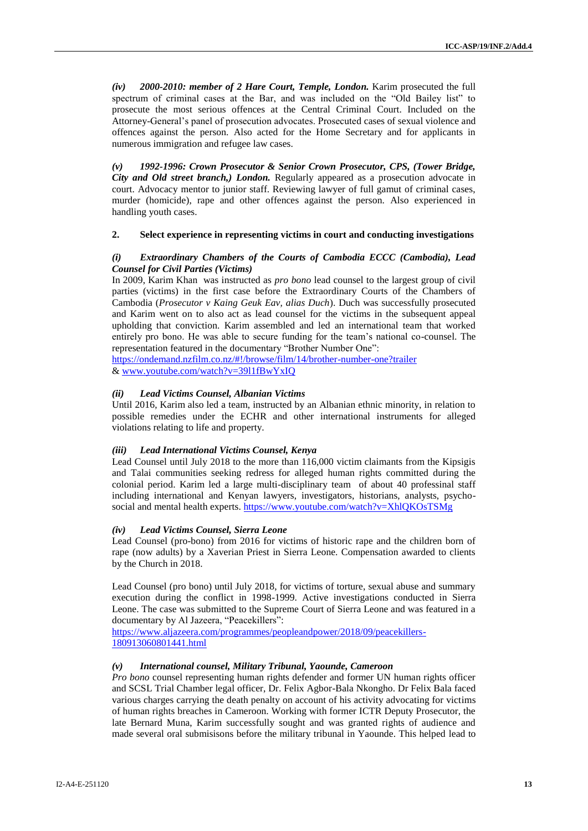*(iv) 2000-2010: member of 2 Hare Court, Temple, London.* Karim prosecuted the full spectrum of criminal cases at the Bar, and was included on the "Old Bailey list" to prosecute the most serious offences at the Central Criminal Court. Included on the Attorney-General's panel of prosecution advocates. Prosecuted cases of sexual violence and offences against the person. Also acted for the Home Secretary and for applicants in numerous immigration and refugee law cases.

*(v) 1992-1996: Crown Prosecutor & Senior Crown Prosecutor, CPS, (Tower Bridge, City and Old street branch,) London.* Regularly appeared as a prosecution advocate in court. Advocacy mentor to junior staff. Reviewing lawyer of full gamut of criminal cases, murder (homicide), rape and other offences against the person. Also experienced in handling youth cases.

#### **2. Select experience in representing victims in court and conducting investigations**

#### *(i) Extraordinary Chambers of the Courts of Cambodia ECCC (Cambodia), Lead Counsel for Civil Parties (Victims)*

In 2009, Karim Khan was instructed as *pro bono* lead counsel to the largest group of civil parties (victims) in the first case before the Extraordinary Courts of the Chambers of Cambodia (*Prosecutor v Kaing Geuk Eav, alias Duch*). Duch was successfully prosecuted and Karim went on to also act as lead counsel for the victims in the subsequent appeal upholding that conviction. Karim assembled and led an international team that worked entirely pro bono. He was able to secure funding for the team's national co-counsel. The representation featured in the documentary "Brother Number One":

<https://ondemand.nzfilm.co.nz/#!/browse/film/14/brother-number-one?trailer> [& www.youtube.com/watch?v=39l1fBwYxIQ](http://www.youtube.com/watch?v=39l1fBwYxIQ)

#### *(ii) Lead Victims Counsel, Albanian Victims*

Until 2016, Karim also led a team, instructed by an Albanian ethnic minority, in relation to possible remedies under the ECHR and other international instruments for alleged violations relating to life and property.

#### *(iii) Lead International Victims Counsel, Kenya*

Lead Counsel until July 2018 to the more than 116,000 victim claimants from the Kipsigis and Talai communities seeking redress for alleged human rights committed during the colonial period. Karim led a large multi-disciplinary team of about 40 professinal staff including international and Kenyan lawyers, investigators, historians, analysts, psycho-social and mental health experts[. https://www.youtube.com/watch?v=XhlQKOsTSMg](https://www.youtube.com/watch?v=XhlQKOsTSMg)

#### *(iv) Lead Victims Counsel, Sierra Leone*

Lead Counsel (pro-bono) from 2016 for victims of historic rape and the children born of rape (now adults) by a Xaverian Priest in Sierra Leone. Compensation awarded to clients by the Church in 2018.

Lead Counsel (pro bono) until July 2018, for victims of torture, sexual abuse and summary execution during the conflict in 1998-1999. Active investigations conducted in Sierra Leone. The case was submitted to the Supreme Court of Sierra Leone and was featured in a documentary by Al Jazeera, "Peacekillers":

[https://www.aljazeera.com/programmes/peopleandpower/2018/09/peacekillers-](https://www.aljazeera.com/programmes/peopleandpower/2018/09/peacekillers-%20180913060801441.html)[180913060801441.html](https://www.aljazeera.com/programmes/peopleandpower/2018/09/peacekillers-%20180913060801441.html)

#### *(v) International counsel, Military Tribunal, Yaounde, Cameroon*

*Pro bono* counsel representing human rights defender and former UN human rights officer and SCSL Trial Chamber legal officer, Dr. Felix Agbor-Bala Nkongho. Dr Felix Bala faced various charges carrying the death penalty on account of his activity advocating for victims of human rights breaches in Cameroon. Working with former ICTR Deputy Prosecutor, the late Bernard Muna, Karim successfully sought and was granted rights of audience and made several oral submisisons before the military tribunal in Yaounde. This helped lead to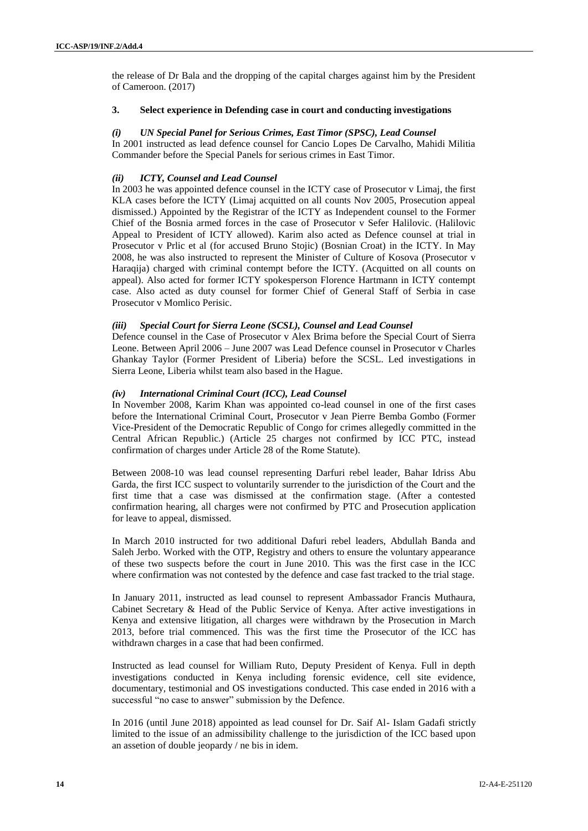the release of Dr Bala and the dropping of the capital charges against him by the President of Cameroon. (2017)

#### **3. Select experience in Defending case in court and conducting investigations**

#### *(i) UN Special Panel for Serious Crimes, East Timor (SPSC), Lead Counsel*

In 2001 instructed as lead defence counsel for Cancio Lopes De Carvalho, Mahidi Militia Commander before the Special Panels for serious crimes in East Timor.

#### *(ii) ICTY, Counsel and Lead Counsel*

In 2003 he was appointed defence counsel in the ICTY case of Prosecutor v Limaj, the first KLA cases before the ICTY (Limaj acquitted on all counts Nov 2005, Prosecution appeal dismissed.) Appointed by the Registrar of the ICTY as Independent counsel to the Former Chief of the Bosnia armed forces in the case of Prosecutor v Sefer Halilovic. (Halilovic Appeal to President of ICTY allowed). Karim also acted as Defence counsel at trial in Prosecutor v Prlic et al (for accused Bruno Stojic) (Bosnian Croat) in the ICTY. In May 2008, he was also instructed to represent the Minister of Culture of Kosova (Prosecutor v Haraqija) charged with criminal contempt before the ICTY. (Acquitted on all counts on appeal). Also acted for former ICTY spokesperson Florence Hartmann in ICTY contempt case. Also acted as duty counsel for former Chief of General Staff of Serbia in case Prosecutor v Momlico Perisic.

#### *(iii) Special Court for Sierra Leone (SCSL), Counsel and Lead Counsel*

Defence counsel in the Case of Prosecutor v Alex Brima before the Special Court of Sierra Leone. Between April 2006 – June 2007 was Lead Defence counsel in Prosecutor v Charles Ghankay Taylor (Former President of Liberia) before the SCSL. Led investigations in Sierra Leone, Liberia whilst team also based in the Hague.

#### *(iv) International Criminal Court (ICC), Lead Counsel*

In November 2008, Karim Khan was appointed co-lead counsel in one of the first cases before the International Criminal Court, Prosecutor v Jean Pierre Bemba Gombo (Former Vice-President of the Democratic Republic of Congo for crimes allegedly committed in the Central African Republic.) (Article 25 charges not confirmed by ICC PTC, instead confirmation of charges under Article 28 of the Rome Statute).

Between 2008-10 was lead counsel representing Darfuri rebel leader, Bahar Idriss Abu Garda, the first ICC suspect to voluntarily surrender to the jurisdiction of the Court and the first time that a case was dismissed at the confirmation stage. (After a contested confirmation hearing, all charges were not confirmed by PTC and Prosecution application for leave to appeal, dismissed.

In March 2010 instructed for two additional Dafuri rebel leaders, Abdullah Banda and Saleh Jerbo. Worked with the OTP, Registry and others to ensure the voluntary appearance of these two suspects before the court in June 2010. This was the first case in the ICC where confirmation was not contested by the defence and case fast tracked to the trial stage.

In January 2011, instructed as lead counsel to represent Ambassador Francis Muthaura, Cabinet Secretary & Head of the Public Service of Kenya. After active investigations in Kenya and extensive litigation, all charges were withdrawn by the Prosecution in March 2013, before trial commenced. This was the first time the Prosecutor of the ICC has withdrawn charges in a case that had been confirmed.

Instructed as lead counsel for William Ruto, Deputy President of Kenya. Full in depth investigations conducted in Kenya including forensic evidence, cell site evidence, documentary, testimonial and OS investigations conducted. This case ended in 2016 with a successful "no case to answer" submission by the Defence.

In 2016 (until June 2018) appointed as lead counsel for Dr. Saif Al- Islam Gadafi strictly limited to the issue of an admissibility challenge to the jurisdiction of the ICC based upon an assetion of double jeopardy / ne bis in idem.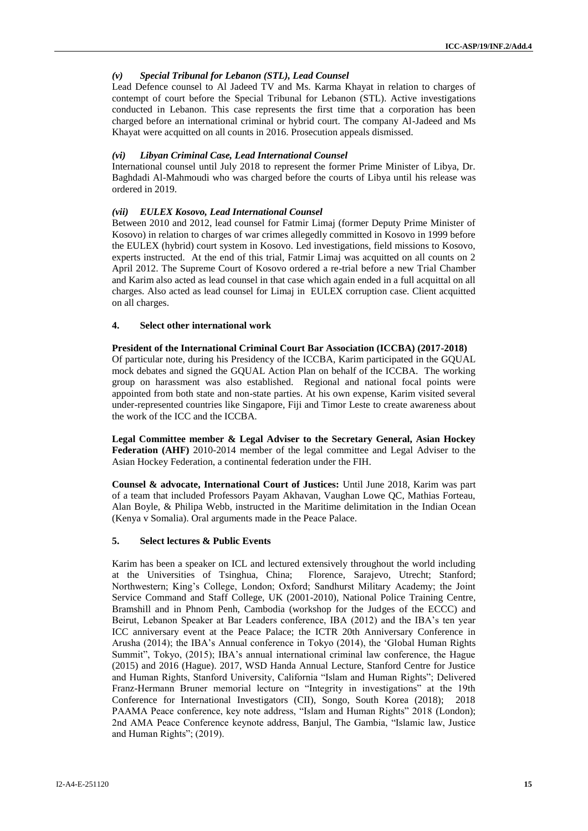#### *(v) Special Tribunal for Lebanon (STL), Lead Counsel*

Lead Defence counsel to Al Jadeed TV and Ms. Karma Khayat in relation to charges of contempt of court before the Special Tribunal for Lebanon (STL). Active investigations conducted in Lebanon. This case represents the first time that a corporation has been charged before an international criminal or hybrid court. The company Al-Jadeed and Ms Khayat were acquitted on all counts in 2016. Prosecution appeals dismissed.

#### *(vi) Libyan Criminal Case, Lead International Counsel*

International counsel until July 2018 to represent the former Prime Minister of Libya, Dr. Baghdadi Al-Mahmoudi who was charged before the courts of Libya until his release was ordered in 2019.

#### *(vii) EULEX Kosovo, Lead International Counsel*

Between 2010 and 2012, lead counsel for Fatmir Limaj (former Deputy Prime Minister of Kosovo) in relation to charges of war crimes allegedly committed in Kosovo in 1999 before the EULEX (hybrid) court system in Kosovo. Led investigations, field missions to Kosovo, experts instructed. At the end of this trial, Fatmir Limaj was acquitted on all counts on 2 April 2012. The Supreme Court of Kosovo ordered a re-trial before a new Trial Chamber and Karim also acted as lead counsel in that case which again ended in a full acquittal on all charges. Also acted as lead counsel for Limaj in EULEX corruption case. Client acquitted on all charges.

#### **4. Select other international work**

#### **President of the International Criminal Court Bar Association (ICCBA) (2017-2018)**

Of particular note, during his Presidency of the ICCBA, Karim participated in the GQUAL mock debates and signed the GQUAL Action Plan on behalf of the ICCBA. The working group on harassment was also established. Regional and national focal points were appointed from both state and non-state parties. At his own expense, Karim visited several under-represented countries like Singapore, Fiji and Timor Leste to create awareness about the work of the ICC and the ICCBA.

**Legal Committee member & Legal Adviser to the Secretary General, Asian Hockey Federation (AHF)** 2010-2014 member of the legal committee and Legal Adviser to the Asian Hockey Federation, a continental federation under the FIH.

**Counsel & advocate, International Court of Justices:** Until June 2018, Karim was part of a team that included Professors Payam Akhavan, Vaughan Lowe QC, Mathias Forteau, Alan Boyle, & Philipa Webb, instructed in the Maritime delimitation in the Indian Ocean (Kenya v Somalia). Oral arguments made in the Peace Palace.

#### **5. Select lectures & Public Events**

Karim has been a speaker on ICL and lectured extensively throughout the world including at the Universities of Tsinghua, China; Florence, Sarajevo, Utrecht; Stanford; Northwestern; King's College, London; Oxford; Sandhurst Military Academy; the Joint Service Command and Staff College, UK (2001-2010), National Police Training Centre, Bramshill and in Phnom Penh, Cambodia (workshop for the Judges of the ECCC) and Beirut, Lebanon Speaker at Bar Leaders conference, IBA (2012) and the IBA's ten year ICC anniversary event at the Peace Palace; the ICTR 20th Anniversary Conference in Arusha (2014); the IBA's Annual conference in Tokyo (2014), the 'Global Human Rights Summit", Tokyo, (2015); IBA's annual international criminal law conference, the Hague (2015) and 2016 (Hague). 2017, WSD Handa Annual Lecture, Stanford Centre for Justice and Human Rights, Stanford University, California "Islam and Human Rights"; Delivered Franz-Hermann Bruner memorial lecture on "Integrity in investigations" at the 19th Conference for International Investigators (CII), Songo, South Korea (2018); 2018 PAAMA Peace conference, key note address, "Islam and Human Rights" 2018 (London); 2nd AMA Peace Conference keynote address, Banjul, The Gambia, "Islamic law, Justice and Human Rights"; (2019).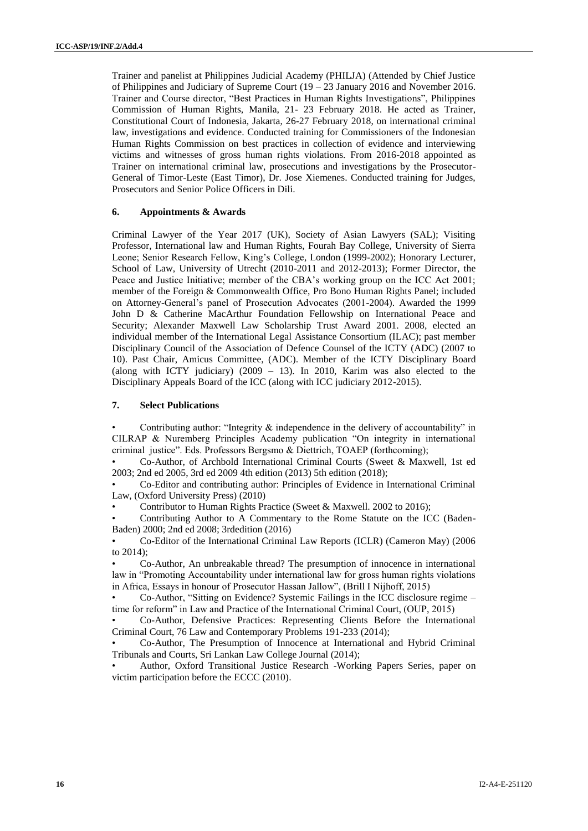Trainer and panelist at Philippines Judicial Academy (PHILJA) (Attended by Chief Justice of Philippines and Judiciary of Supreme Court (19 – 23 January 2016 and November 2016. Trainer and Course director, "Best Practices in Human Rights Investigations", Philippines Commission of Human Rights, Manila, 21- 23 February 2018. He acted as Trainer, Constitutional Court of Indonesia, Jakarta, 26-27 February 2018, on international criminal law, investigations and evidence. Conducted training for Commissioners of the Indonesian Human Rights Commission on best practices in collection of evidence and interviewing victims and witnesses of gross human rights violations. From 2016-2018 appointed as Trainer on international criminal law, prosecutions and investigations by the Prosecutor-General of Timor-Leste (East Timor), Dr. Jose Xiemenes. Conducted training for Judges, Prosecutors and Senior Police Officers in Dili.

#### **6. Appointments & Awards**

Criminal Lawyer of the Year 2017 (UK), Society of Asian Lawyers (SAL); Visiting Professor, International law and Human Rights, Fourah Bay College, University of Sierra Leone; Senior Research Fellow, King's College, London (1999-2002); Honorary Lecturer, School of Law, University of Utrecht (2010-2011 and 2012-2013); Former Director, the Peace and Justice Initiative; member of the CBA's working group on the ICC Act 2001; member of the Foreign & Commonwealth Office, Pro Bono Human Rights Panel; included on Attorney-General's panel of Prosecution Advocates (2001-2004). Awarded the 1999 John D & Catherine MacArthur Foundation Fellowship on International Peace and Security; Alexander Maxwell Law Scholarship Trust Award 2001. 2008, elected an individual member of the International Legal Assistance Consortium (ILAC); past member Disciplinary Council of the Association of Defence Counsel of the ICTY (ADC) (2007 to 10). Past Chair, Amicus Committee, (ADC). Member of the ICTY Disciplinary Board (along with ICTY judiciary)  $(2009 - 13)$ . In 2010, Karim was also elected to the Disciplinary Appeals Board of the ICC (along with ICC judiciary 2012-2015).

#### **7. Select Publications**

Contributing author: "Integrity  $\&$  independence in the delivery of accountability" in CILRAP & Nuremberg Principles Academy publication "On integrity in international criminal justice". Eds. Professors Bergsmo & Diettrich, TOAEP (forthcoming);

• Co-Author, of Archbold International Criminal Courts (Sweet & Maxwell, 1st ed 2003; 2nd ed 2005, 3rd ed 2009 4th edition (2013) 5th edition (2018);

• Co-Editor and contributing author: Principles of Evidence in International Criminal Law, (Oxford University Press) (2010)

• Contributor to Human Rights Practice (Sweet & Maxwell. 2002 to 2016);

• Contributing Author to A Commentary to the Rome Statute on the ICC (Baden-Baden) 2000; 2nd ed 2008; 3rdedition (2016)

• Co-Editor of the International Criminal Law Reports (ICLR) (Cameron May) (2006 to 2014);

• Co-Author, An unbreakable thread? The presumption of innocence in international law in "Promoting Accountability under international law for gross human rights violations in Africa, Essays in honour of Prosecutor Hassan Jallow", (Brill I Nijhoff, 2015)

• Co-Author, "Sitting on Evidence? Systemic Failings in the ICC disclosure regime – time for reform" in Law and Practice of the International Criminal Court, (OUP, 2015)

• Co-Author, Defensive Practices: Representing Clients Before the International Criminal Court, 76 Law and Contemporary Problems 191-233 (2014);

• Co-Author, The Presumption of Innocence at International and Hybrid Criminal Tribunals and Courts, Sri Lankan Law College Journal (2014);

• Author, Oxford Transitional Justice Research -Working Papers Series, paper on victim participation before the ECCC (2010).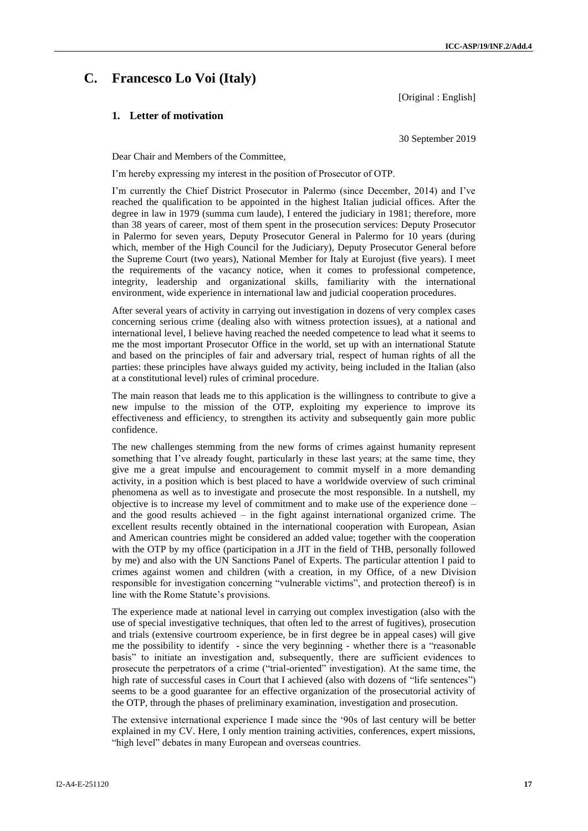## **C. Francesco Lo Voi (Italy)**

[Original : English]

#### **1. Letter of motivation**

30 September 2019

Dear Chair and Members of the Committee,

I'm hereby expressing my interest in the position of Prosecutor of OTP.

I'm currently the Chief District Prosecutor in Palermo (since December, 2014) and I've reached the qualification to be appointed in the highest Italian judicial offices. After the degree in law in 1979 (summa cum laude), I entered the judiciary in 1981; therefore, more than 38 years of career, most of them spent in the prosecution services: Deputy Prosecutor in Palermo for seven years, Deputy Prosecutor General in Palermo for 10 years (during which, member of the High Council for the Judiciary), Deputy Prosecutor General before the Supreme Court (two years), National Member for Italy at Eurojust (five years). I meet the requirements of the vacancy notice, when it comes to professional competence, integrity, leadership and organizational skills, familiarity with the international environment, wide experience in international law and judicial cooperation procedures.

After several years of activity in carrying out investigation in dozens of very complex cases concerning serious crime (dealing also with witness protection issues), at a national and international level, I believe having reached the needed competence to lead what it seems to me the most important Prosecutor Office in the world, set up with an international Statute and based on the principles of fair and adversary trial, respect of human rights of all the parties: these principles have always guided my activity, being included in the Italian (also at a constitutional level) rules of criminal procedure.

The main reason that leads me to this application is the willingness to contribute to give a new impulse to the mission of the OTP, exploiting my experience to improve its effectiveness and efficiency, to strengthen its activity and subsequently gain more public confidence.

The new challenges stemming from the new forms of crimes against humanity represent something that I've already fought, particularly in these last years; at the same time, they give me a great impulse and encouragement to commit myself in a more demanding activity, in a position which is best placed to have a worldwide overview of such criminal phenomena as well as to investigate and prosecute the most responsible. In a nutshell, my objective is to increase my level of commitment and to make use of the experience done – and the good results achieved – in the fight against international organized crime. The excellent results recently obtained in the international cooperation with European, Asian and American countries might be considered an added value; together with the cooperation with the OTP by my office (participation in a JIT in the field of THB, personally followed by me) and also with the UN Sanctions Panel of Experts. The particular attention I paid to crimes against women and children (with a creation, in my Office, of a new Division responsible for investigation concerning "vulnerable victims", and protection thereof) is in line with the Rome Statute's provisions.

The experience made at national level in carrying out complex investigation (also with the use of special investigative techniques, that often led to the arrest of fugitives), prosecution and trials (extensive courtroom experience, be in first degree be in appeal cases) will give me the possibility to identify - since the very beginning - whether there is a "reasonable basis" to initiate an investigation and, subsequently, there are sufficient evidences to prosecute the perpetrators of a crime ("trial-oriented" investigation). At the same time, the high rate of successful cases in Court that I achieved (also with dozens of "life sentences") seems to be a good guarantee for an effective organization of the prosecutorial activity of the OTP, through the phases of preliminary examination, investigation and prosecution.

The extensive international experience I made since the '90s of last century will be better explained in my CV. Here, I only mention training activities, conferences, expert missions, "high level" debates in many European and overseas countries.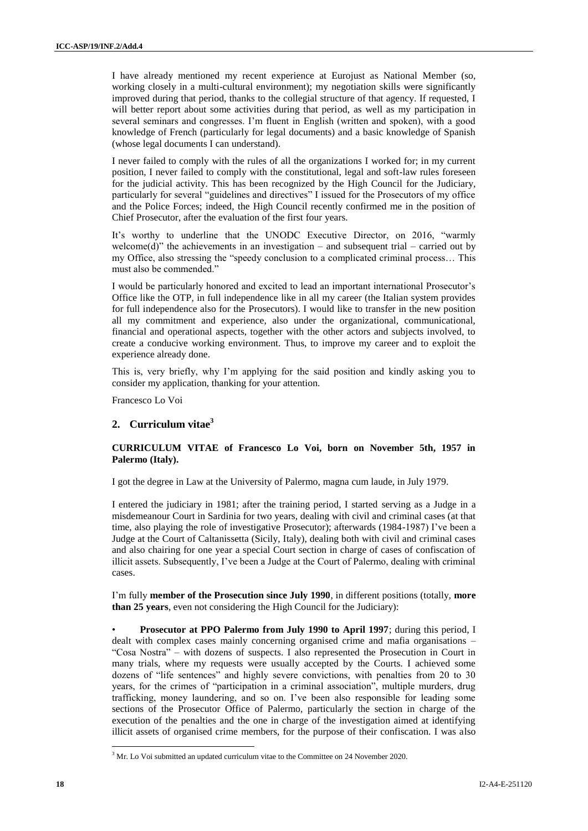I have already mentioned my recent experience at Eurojust as National Member (so, working closely in a multi-cultural environment); my negotiation skills were significantly improved during that period, thanks to the collegial structure of that agency. If requested, I will better report about some activities during that period, as well as my participation in several seminars and congresses. I'm fluent in English (written and spoken), with a good knowledge of French (particularly for legal documents) and a basic knowledge of Spanish (whose legal documents I can understand).

I never failed to comply with the rules of all the organizations I worked for; in my current position, I never failed to comply with the constitutional, legal and soft-law rules foreseen for the judicial activity. This has been recognized by the High Council for the Judiciary, particularly for several "guidelines and directives" I issued for the Prosecutors of my office and the Police Forces; indeed, the High Council recently confirmed me in the position of Chief Prosecutor, after the evaluation of the first four years.

It's worthy to underline that the UNODC Executive Director, on 2016, "warmly welcome(d)" the achievements in an investigation – and subsequent trial – carried out by my Office, also stressing the "speedy conclusion to a complicated criminal process… This must also be commended."

I would be particularly honored and excited to lead an important international Prosecutor's Office like the OTP, in full independence like in all my career (the Italian system provides for full independence also for the Prosecutors). I would like to transfer in the new position all my commitment and experience, also under the organizational, communicational, financial and operational aspects, together with the other actors and subjects involved, to create a conducive working environment. Thus, to improve my career and to exploit the experience already done.

This is, very briefly, why I'm applying for the said position and kindly asking you to consider my application, thanking for your attention.

Francesco Lo Voi

#### **2. Curriculum vitae<sup>3</sup>**

#### **CURRICULUM VITAE of Francesco Lo Voi, born on November 5th, 1957 in Palermo (Italy).**

I got the degree in Law at the University of Palermo, magna cum laude, in July 1979.

I entered the judiciary in 1981; after the training period, I started serving as a Judge in a misdemeanour Court in Sardinia for two years, dealing with civil and criminal cases (at that time, also playing the role of investigative Prosecutor); afterwards (1984-1987) I've been a Judge at the Court of Caltanissetta (Sicily, Italy), dealing both with civil and criminal cases and also chairing for one year a special Court section in charge of cases of confiscation of illicit assets. Subsequently, I've been a Judge at the Court of Palermo, dealing with criminal cases.

I'm fully **member of the Prosecution since July 1990**, in different positions (totally, **more than 25 years**, even not considering the High Council for the Judiciary):

• **Prosecutor at PPO Palermo from July 1990 to April 1997**; during this period, I dealt with complex cases mainly concerning organised crime and mafia organisations – "Cosa Nostra" – with dozens of suspects. I also represented the Prosecution in Court in many trials, where my requests were usually accepted by the Courts. I achieved some dozens of "life sentences" and highly severe convictions, with penalties from 20 to 30 years, for the crimes of "participation in a criminal association", multiple murders, drug trafficking, money laundering, and so on. I've been also responsible for leading some sections of the Prosecutor Office of Palermo, particularly the section in charge of the execution of the penalties and the one in charge of the investigation aimed at identifying illicit assets of organised crime members, for the purpose of their confiscation. I was also

 $\overline{\phantom{a}}$ 

<sup>&</sup>lt;sup>3</sup> Mr. Lo Voi submitted an updated curriculum vitae to the Committee on 24 November 2020.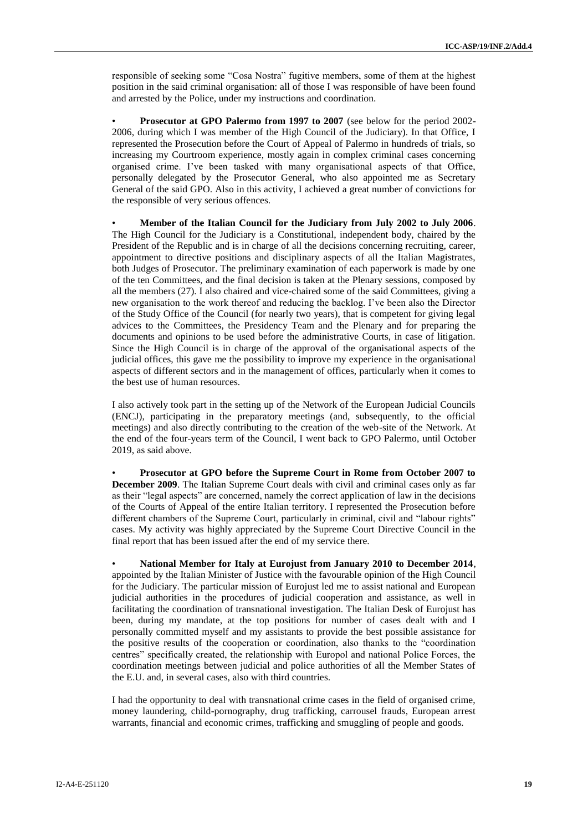responsible of seeking some "Cosa Nostra" fugitive members, some of them at the highest position in the said criminal organisation: all of those I was responsible of have been found and arrested by the Police, under my instructions and coordination.

• **Prosecutor at GPO Palermo from 1997 to 2007** (see below for the period 2002- 2006, during which I was member of the High Council of the Judiciary). In that Office, I represented the Prosecution before the Court of Appeal of Palermo in hundreds of trials, so increasing my Courtroom experience, mostly again in complex criminal cases concerning organised crime. I've been tasked with many organisational aspects of that Office, personally delegated by the Prosecutor General, who also appointed me as Secretary General of the said GPO. Also in this activity, I achieved a great number of convictions for the responsible of very serious offences.

• **Member of the Italian Council for the Judiciary from July 2002 to July 2006**. The High Council for the Judiciary is a Constitutional, independent body, chaired by the President of the Republic and is in charge of all the decisions concerning recruiting, career, appointment to directive positions and disciplinary aspects of all the Italian Magistrates, both Judges of Prosecutor. The preliminary examination of each paperwork is made by one of the ten Committees, and the final decision is taken at the Plenary sessions, composed by all the members (27). I also chaired and vice-chaired some of the said Committees, giving a new organisation to the work thereof and reducing the backlog. I've been also the Director of the Study Office of the Council (for nearly two years), that is competent for giving legal advices to the Committees, the Presidency Team and the Plenary and for preparing the documents and opinions to be used before the administrative Courts, in case of litigation. Since the High Council is in charge of the approval of the organisational aspects of the judicial offices, this gave me the possibility to improve my experience in the organisational aspects of different sectors and in the management of offices, particularly when it comes to the best use of human resources.

I also actively took part in the setting up of the Network of the European Judicial Councils (ENCJ), participating in the preparatory meetings (and, subsequently, to the official meetings) and also directly contributing to the creation of the web-site of the Network. At the end of the four-years term of the Council, I went back to GPO Palermo, until October 2019, as said above.

• **Prosecutor at GPO before the Supreme Court in Rome from October 2007 to December 2009**. The Italian Supreme Court deals with civil and criminal cases only as far as their "legal aspects" are concerned, namely the correct application of law in the decisions of the Courts of Appeal of the entire Italian territory. I represented the Prosecution before different chambers of the Supreme Court, particularly in criminal, civil and "labour rights" cases. My activity was highly appreciated by the Supreme Court Directive Council in the final report that has been issued after the end of my service there.

• **National Member for Italy at Eurojust from January 2010 to December 2014**, appointed by the Italian Minister of Justice with the favourable opinion of the High Council for the Judiciary. The particular mission of Eurojust led me to assist national and European judicial authorities in the procedures of judicial cooperation and assistance, as well in facilitating the coordination of transnational investigation. The Italian Desk of Eurojust has been, during my mandate, at the top positions for number of cases dealt with and I personally committed myself and my assistants to provide the best possible assistance for the positive results of the cooperation or coordination, also thanks to the "coordination centres" specifically created, the relationship with Europol and national Police Forces, the coordination meetings between judicial and police authorities of all the Member States of the E.U. and, in several cases, also with third countries.

I had the opportunity to deal with transnational crime cases in the field of organised crime, money laundering, child-pornography, drug trafficking, carrousel frauds, European arrest warrants, financial and economic crimes, trafficking and smuggling of people and goods.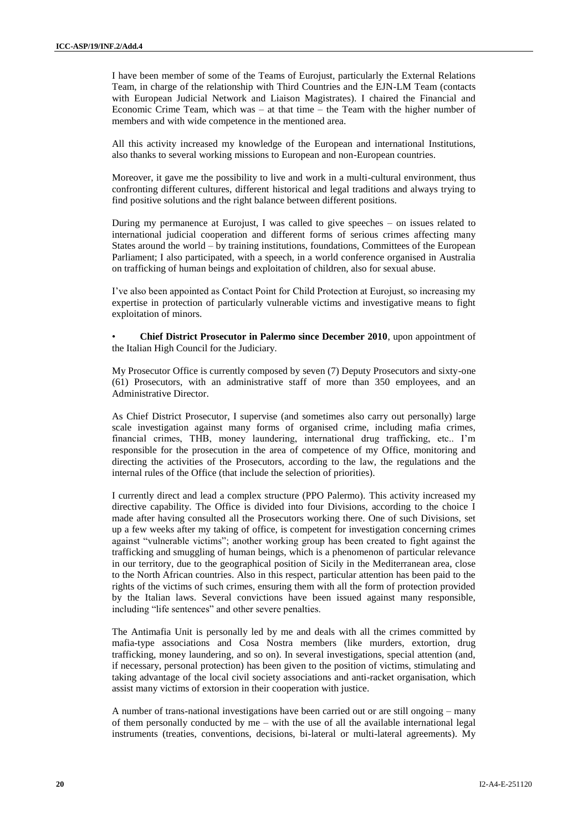I have been member of some of the Teams of Eurojust, particularly the External Relations Team, in charge of the relationship with Third Countries and the EJN-LM Team (contacts with European Judicial Network and Liaison Magistrates). I chaired the Financial and Economic Crime Team, which was – at that time – the Team with the higher number of members and with wide competence in the mentioned area.

All this activity increased my knowledge of the European and international Institutions, also thanks to several working missions to European and non-European countries.

Moreover, it gave me the possibility to live and work in a multi-cultural environment, thus confronting different cultures, different historical and legal traditions and always trying to find positive solutions and the right balance between different positions.

During my permanence at Eurojust, I was called to give speeches – on issues related to international judicial cooperation and different forms of serious crimes affecting many States around the world – by training institutions, foundations, Committees of the European Parliament; I also participated, with a speech, in a world conference organised in Australia on trafficking of human beings and exploitation of children, also for sexual abuse.

I've also been appointed as Contact Point for Child Protection at Eurojust, so increasing my expertise in protection of particularly vulnerable victims and investigative means to fight exploitation of minors.

• **Chief District Prosecutor in Palermo since December 2010**, upon appointment of the Italian High Council for the Judiciary.

My Prosecutor Office is currently composed by seven (7) Deputy Prosecutors and sixty-one (61) Prosecutors, with an administrative staff of more than 350 employees, and an Administrative Director.

As Chief District Prosecutor, I supervise (and sometimes also carry out personally) large scale investigation against many forms of organised crime, including mafia crimes, financial crimes, THB, money laundering, international drug trafficking, etc.. I'm responsible for the prosecution in the area of competence of my Office, monitoring and directing the activities of the Prosecutors, according to the law, the regulations and the internal rules of the Office (that include the selection of priorities).

I currently direct and lead a complex structure (PPO Palermo). This activity increased my directive capability. The Office is divided into four Divisions, according to the choice I made after having consulted all the Prosecutors working there. One of such Divisions, set up a few weeks after my taking of office, is competent for investigation concerning crimes against "vulnerable victims"; another working group has been created to fight against the trafficking and smuggling of human beings, which is a phenomenon of particular relevance in our territory, due to the geographical position of Sicily in the Mediterranean area, close to the North African countries. Also in this respect, particular attention has been paid to the rights of the victims of such crimes, ensuring them with all the form of protection provided by the Italian laws. Several convictions have been issued against many responsible, including "life sentences" and other severe penalties.

The Antimafia Unit is personally led by me and deals with all the crimes committed by mafia-type associations and Cosa Nostra members (like murders, extortion, drug trafficking, money laundering, and so on). In several investigations, special attention (and, if necessary, personal protection) has been given to the position of victims, stimulating and taking advantage of the local civil society associations and anti-racket organisation, which assist many victims of extorsion in their cooperation with justice.

A number of trans-national investigations have been carried out or are still ongoing – many of them personally conducted by me – with the use of all the available international legal instruments (treaties, conventions, decisions, bi-lateral or multi-lateral agreements). My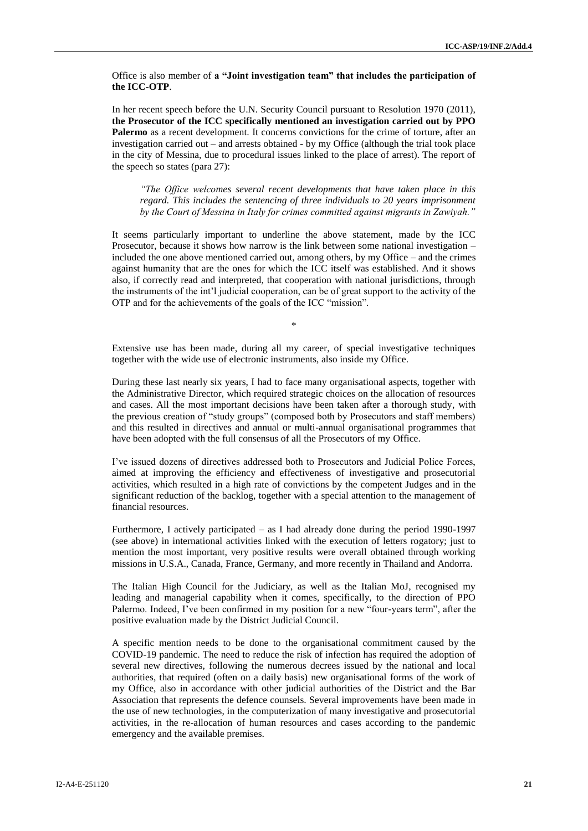Office is also member of **a "Joint investigation team" that includes the participation of the ICC-OTP**.

In her recent speech before the U.N. Security Council pursuant to Resolution 1970 (2011), **the Prosecutor of the ICC specifically mentioned an investigation carried out by PPO Palermo** as a recent development. It concerns convictions for the crime of torture, after an investigation carried out – and arrests obtained - by my Office (although the trial took place in the city of Messina, due to procedural issues linked to the place of arrest). The report of the speech so states (para 27):

*"The Office welcomes several recent developments that have taken place in this regard. This includes the sentencing of three individuals to 20 years imprisonment by the Court of Messina in Italy for crimes committed against migrants in Zawiyah."*

It seems particularly important to underline the above statement, made by the ICC Prosecutor, because it shows how narrow is the link between some national investigation – included the one above mentioned carried out, among others, by my Office – and the crimes against humanity that are the ones for which the ICC itself was established. And it shows also, if correctly read and interpreted, that cooperation with national jurisdictions, through the instruments of the int'l judicial cooperation, can be of great support to the activity of the OTP and for the achievements of the goals of the ICC "mission".

Extensive use has been made, during all my career, of special investigative techniques together with the wide use of electronic instruments, also inside my Office.

\*

During these last nearly six years, I had to face many organisational aspects, together with the Administrative Director, which required strategic choices on the allocation of resources and cases. All the most important decisions have been taken after a thorough study, with the previous creation of "study groups" (composed both by Prosecutors and staff members) and this resulted in directives and annual or multi-annual organisational programmes that have been adopted with the full consensus of all the Prosecutors of my Office.

I've issued dozens of directives addressed both to Prosecutors and Judicial Police Forces, aimed at improving the efficiency and effectiveness of investigative and prosecutorial activities, which resulted in a high rate of convictions by the competent Judges and in the significant reduction of the backlog, together with a special attention to the management of financial resources.

Furthermore, I actively participated – as I had already done during the period 1990-1997 (see above) in international activities linked with the execution of letters rogatory; just to mention the most important, very positive results were overall obtained through working missions in U.S.A., Canada, France, Germany, and more recently in Thailand and Andorra.

The Italian High Council for the Judiciary, as well as the Italian MoJ, recognised my leading and managerial capability when it comes, specifically, to the direction of PPO Palermo. Indeed, I've been confirmed in my position for a new "four-years term", after the positive evaluation made by the District Judicial Council.

A specific mention needs to be done to the organisational commitment caused by the COVID-19 pandemic. The need to reduce the risk of infection has required the adoption of several new directives, following the numerous decrees issued by the national and local authorities, that required (often on a daily basis) new organisational forms of the work of my Office, also in accordance with other judicial authorities of the District and the Bar Association that represents the defence counsels. Several improvements have been made in the use of new technologies, in the computerization of many investigative and prosecutorial activities, in the re-allocation of human resources and cases according to the pandemic emergency and the available premises.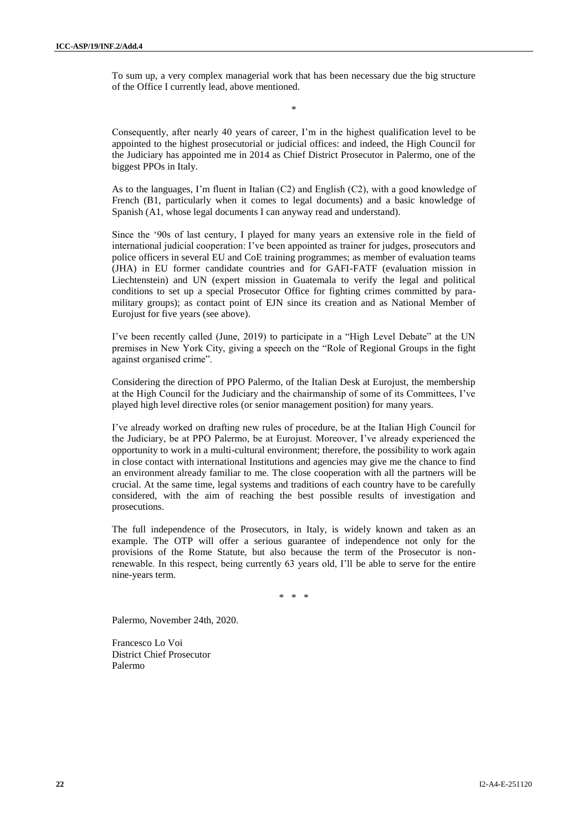To sum up, a very complex managerial work that has been necessary due the big structure of the Office I currently lead, above mentioned.

\*

Consequently, after nearly 40 years of career, I'm in the highest qualification level to be appointed to the highest prosecutorial or judicial offices: and indeed, the High Council for the Judiciary has appointed me in 2014 as Chief District Prosecutor in Palermo, one of the biggest PPOs in Italy.

As to the languages, I'm fluent in Italian (C2) and English (C2), with a good knowledge of French (B1, particularly when it comes to legal documents) and a basic knowledge of Spanish (A1, whose legal documents I can anyway read and understand).

Since the '90s of last century, I played for many years an extensive role in the field of international judicial cooperation: I've been appointed as trainer for judges, prosecutors and police officers in several EU and CoE training programmes; as member of evaluation teams (JHA) in EU former candidate countries and for GAFI-FATF (evaluation mission in Liechtenstein) and UN (expert mission in Guatemala to verify the legal and political conditions to set up a special Prosecutor Office for fighting crimes committed by paramilitary groups); as contact point of EJN since its creation and as National Member of Eurojust for five years (see above).

I've been recently called (June, 2019) to participate in a "High Level Debate" at the UN premises in New York City, giving a speech on the "Role of Regional Groups in the fight against organised crime".

Considering the direction of PPO Palermo, of the Italian Desk at Eurojust, the membership at the High Council for the Judiciary and the chairmanship of some of its Committees, I've played high level directive roles (or senior management position) for many years.

I've already worked on drafting new rules of procedure, be at the Italian High Council for the Judiciary, be at PPO Palermo, be at Eurojust. Moreover, I've already experienced the opportunity to work in a multi-cultural environment; therefore, the possibility to work again in close contact with international Institutions and agencies may give me the chance to find an environment already familiar to me. The close cooperation with all the partners will be crucial. At the same time, legal systems and traditions of each country have to be carefully considered, with the aim of reaching the best possible results of investigation and prosecutions.

The full independence of the Prosecutors, in Italy, is widely known and taken as an example. The OTP will offer a serious guarantee of independence not only for the provisions of the Rome Statute, but also because the term of the Prosecutor is nonrenewable. In this respect, being currently 63 years old, I'll be able to serve for the entire nine-years term.

\* \* \*

Palermo, November 24th, 2020.

Francesco Lo Voi District Chief Prosecutor Palermo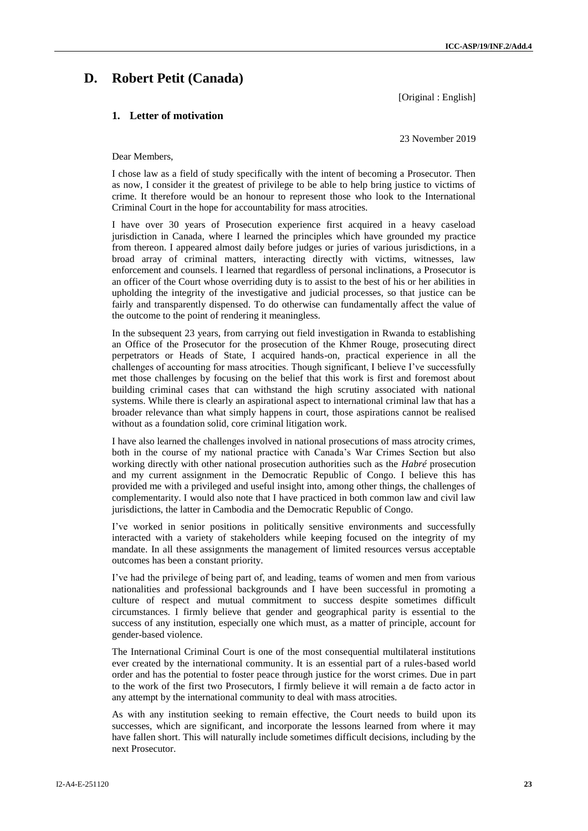## **D. Robert Petit (Canada)**

[Original : English]

#### **1. Letter of motivation**

23 November 2019

#### Dear Members,

I chose law as a field of study specifically with the intent of becoming a Prosecutor. Then as now, I consider it the greatest of privilege to be able to help bring justice to victims of crime. It therefore would be an honour to represent those who look to the International Criminal Court in the hope for accountability for mass atrocities.

I have over 30 years of Prosecution experience first acquired in a heavy caseload jurisdiction in Canada, where I learned the principles which have grounded my practice from thereon. I appeared almost daily before judges or juries of various jurisdictions, in a broad array of criminal matters, interacting directly with victims, witnesses, law enforcement and counsels. I learned that regardless of personal inclinations, a Prosecutor is an officer of the Court whose overriding duty is to assist to the best of his or her abilities in upholding the integrity of the investigative and judicial processes, so that justice can be fairly and transparently dispensed. To do otherwise can fundamentally affect the value of the outcome to the point of rendering it meaningless.

In the subsequent 23 years, from carrying out field investigation in Rwanda to establishing an Office of the Prosecutor for the prosecution of the Khmer Rouge, prosecuting direct perpetrators or Heads of State, I acquired hands-on, practical experience in all the challenges of accounting for mass atrocities. Though significant, I believe I've successfully met those challenges by focusing on the belief that this work is first and foremost about building criminal cases that can withstand the high scrutiny associated with national systems. While there is clearly an aspirational aspect to international criminal law that has a broader relevance than what simply happens in court, those aspirations cannot be realised without as a foundation solid, core criminal litigation work.

I have also learned the challenges involved in national prosecutions of mass atrocity crimes, both in the course of my national practice with Canada's War Crimes Section but also working directly with other national prosecution authorities such as the *Habré* prosecution and my current assignment in the Democratic Republic of Congo. I believe this has provided me with a privileged and useful insight into, among other things, the challenges of complementarity. I would also note that I have practiced in both common law and civil law jurisdictions, the latter in Cambodia and the Democratic Republic of Congo.

I've worked in senior positions in politically sensitive environments and successfully interacted with a variety of stakeholders while keeping focused on the integrity of my mandate. In all these assignments the management of limited resources versus acceptable outcomes has been a constant priority.

I've had the privilege of being part of, and leading, teams of women and men from various nationalities and professional backgrounds and I have been successful in promoting a culture of respect and mutual commitment to success despite sometimes difficult circumstances. I firmly believe that gender and geographical parity is essential to the success of any institution, especially one which must, as a matter of principle, account for gender-based violence.

The International Criminal Court is one of the most consequential multilateral institutions ever created by the international community. It is an essential part of a rules-based world order and has the potential to foster peace through justice for the worst crimes. Due in part to the work of the first two Prosecutors, I firmly believe it will remain a de facto actor in any attempt by the international community to deal with mass atrocities.

As with any institution seeking to remain effective, the Court needs to build upon its successes, which are significant, and incorporate the lessons learned from where it may have fallen short. This will naturally include sometimes difficult decisions, including by the next Prosecutor.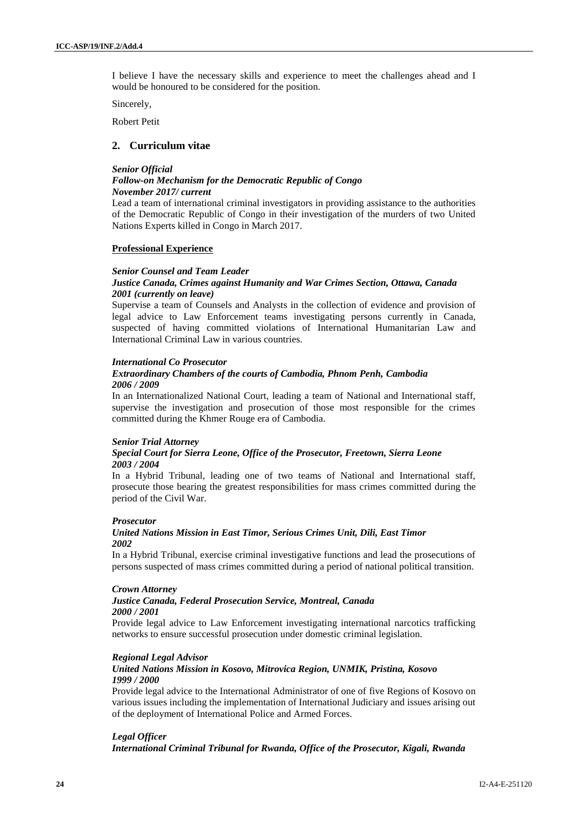I believe I have the necessary skills and experience to meet the challenges ahead and I would be honoured to be considered for the position.

Sincerely,

Robert Petit

### **2. Curriculum vitae**

#### *Senior Official*

#### *Follow-on Mechanism for the Democratic Republic of Congo November 2017/ current*

Lead a team of international criminal investigators in providing assistance to the authorities of the Democratic Republic of Congo in their investigation of the murders of two United Nations Experts killed in Congo in March 2017.

#### **Professional Experience**

#### *Senior Counsel and Team Leader*

#### *Justice Canada, Crimes against Humanity and War Crimes Section, Ottawa, Canada 2001 (currently on leave)*

Supervise a team of Counsels and Analysts in the collection of evidence and provision of legal advice to Law Enforcement teams investigating persons currently in Canada, suspected of having committed violations of International Humanitarian Law and International Criminal Law in various countries.

#### *International Co Prosecutor*

#### *Extraordinary Chambers of the courts of Cambodia, Phnom Penh, Cambodia 2006 / 2009*

In an Internationalized National Court, leading a team of National and International staff, supervise the investigation and prosecution of those most responsible for the crimes committed during the Khmer Rouge era of Cambodia.

#### *Senior Trial Attorney*

#### *Special Court for Sierra Leone, Office of the Prosecutor, Freetown, Sierra Leone 2003 / 2004*

In a Hybrid Tribunal, leading one of two teams of National and International staff, prosecute those bearing the greatest responsibilities for mass crimes committed during the period of the Civil War.

#### *Prosecutor*

#### *United Nations Mission in East Timor, Serious Crimes Unit, Dili, East Timor 2002*

In a Hybrid Tribunal, exercise criminal investigative functions and lead the prosecutions of persons suspected of mass crimes committed during a period of national political transition.

#### *Crown Attorney*

#### *Justice Canada, Federal Prosecution Service, Montreal, Canada 2000 / 2001*

Provide legal advice to Law Enforcement investigating international narcotics trafficking networks to ensure successful prosecution under domestic criminal legislation.

#### *Regional Legal Advisor*

#### *United Nations Mission in Kosovo, Mitrovica Region, UNMIK, Pristina, Kosovo 1999 / 2000*

Provide legal advice to the International Administrator of one of five Regions of Kosovo on various issues including the implementation of International Judiciary and issues arising out of the deployment of International Police and Armed Forces.

#### *Legal Officer*

*International Criminal Tribunal for Rwanda, Office of the Prosecutor, Kigali, Rwanda*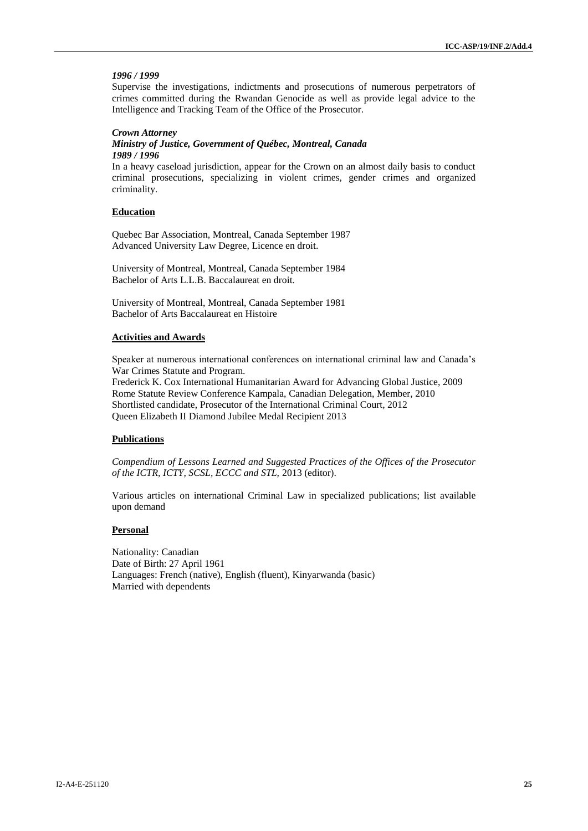#### *1996 / 1999*

Supervise the investigations, indictments and prosecutions of numerous perpetrators of crimes committed during the Rwandan Genocide as well as provide legal advice to the Intelligence and Tracking Team of the Office of the Prosecutor.

#### *Crown Attorney*

#### *Ministry of Justice, Government of Québec, Montreal, Canada 1989 / 1996*

In a heavy caseload jurisdiction, appear for the Crown on an almost daily basis to conduct criminal prosecutions, specializing in violent crimes, gender crimes and organized criminality.

#### **Education**

Quebec Bar Association, Montreal, Canada September 1987 Advanced University Law Degree, Licence en droit.

University of Montreal, Montreal, Canada September 1984 Bachelor of Arts L.L.B. Baccalaureat en droit.

University of Montreal, Montreal, Canada September 1981 Bachelor of Arts Baccalaureat en Histoire

#### **Activities and Awards**

Speaker at numerous international conferences on international criminal law and Canada's War Crimes Statute and Program. Frederick K. Cox International Humanitarian Award for Advancing Global Justice, 2009 Rome Statute Review Conference Kampala, Canadian Delegation, Member, 2010 Shortlisted candidate, Prosecutor of the International Criminal Court, 2012 Queen Elizabeth II Diamond Jubilee Medal Recipient 2013

#### **Publications**

*Compendium of Lessons Learned and Suggested Practices of the Offices of the Prosecutor of the ICTR, ICTY, SCSL, ECCC and STL,* 2013 (editor).

Various articles on international Criminal Law in specialized publications; list available upon demand

#### **Personal**

Nationality: Canadian Date of Birth: 27 April 1961 Languages: French (native), English (fluent), Kinyarwanda (basic) Married with dependents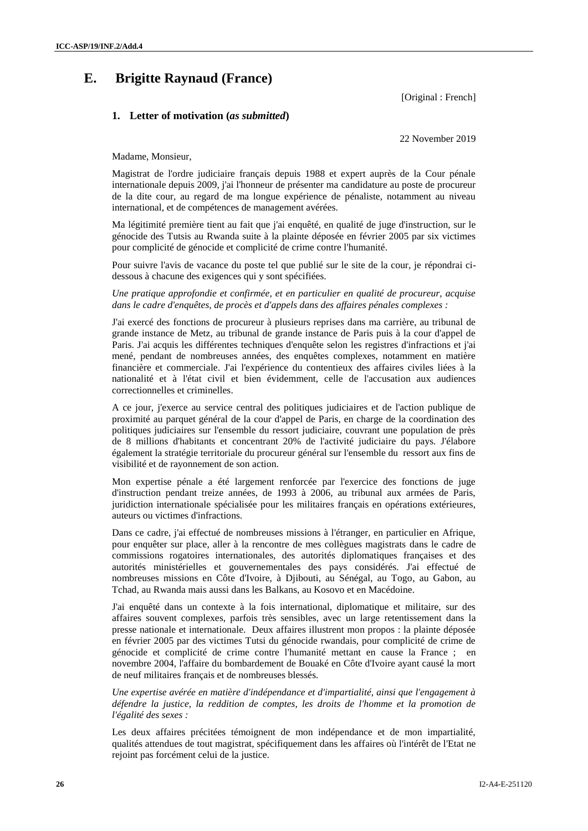## **E. Brigitte Raynaud (France)**

[Original : French]

#### **1. Letter of motivation (***as submitted***)**

22 November 2019

Madame, Monsieur,

Magistrat de l'ordre judiciaire français depuis 1988 et expert auprès de la Cour pénale internationale depuis 2009, j'ai l'honneur de présenter ma candidature au poste de procureur de la dite cour, au regard de ma longue expérience de pénaliste, notamment au niveau international, et de compétences de management avérées.

Ma légitimité première tient au fait que j'ai enquêté, en qualité de juge d'instruction, sur le génocide des Tutsis au Rwanda suite à la plainte déposée en février 2005 par six victimes pour complicité de génocide et complicité de crime contre l'humanité.

Pour suivre l'avis de vacance du poste tel que publié sur le site de la cour, je répondrai cidessous à chacune des exigences qui y sont spécifiées.

*Une pratique approfondie et confirmée, et en particulier en qualité de procureur, acquise dans le cadre d'enquêtes, de procès et d'appels dans des affaires pénales complexes :*

J'ai exercé des fonctions de procureur à plusieurs reprises dans ma carrière, au tribunal de grande instance de Metz, au tribunal de grande instance de Paris puis à la cour d'appel de Paris. J'ai acquis les différentes techniques d'enquête selon les registres d'infractions et j'ai mené, pendant de nombreuses années, des enquêtes complexes, notamment en matière financière et commerciale. J'ai l'expérience du contentieux des affaires civiles liées à la nationalité et à l'état civil et bien évidemment, celle de l'accusation aux audiences correctionnelles et criminelles.

A ce jour, j'exerce au service central des politiques judiciaires et de l'action publique de proximité au parquet général de la cour d'appel de Paris, en charge de la coordination des politiques judiciaires sur l'ensemble du ressort judiciaire, couvrant une population de près de 8 millions d'habitants et concentrant 20% de l'activité judiciaire du pays. J'élabore également la stratégie territoriale du procureur général sur l'ensemble du ressort aux fins de visibilité et de rayonnement de son action.

Mon expertise pénale a été largement renforcée par l'exercice des fonctions de juge d'instruction pendant treize années, de 1993 à 2006, au tribunal aux armées de Paris, juridiction internationale spécialisée pour les militaires français en opérations extérieures, auteurs ou victimes d'infractions.

Dans ce cadre, j'ai effectué de nombreuses missions à l'étranger, en particulier en Afrique, pour enquêter sur place, aller à la rencontre de mes collègues magistrats dans le cadre de commissions rogatoires internationales, des autorités diplomatiques françaises et des autorités ministérielles et gouvernementales des pays considérés. J'ai effectué de nombreuses missions en Côte d'Ivoire, à Djibouti, au Sénégal, au Togo, au Gabon, au Tchad, au Rwanda mais aussi dans les Balkans, au Kosovo et en Macédoine.

J'ai enquêté dans un contexte à la fois international, diplomatique et militaire, sur des affaires souvent complexes, parfois très sensibles, avec un large retentissement dans la presse nationale et internationale. Deux affaires illustrent mon propos : la plainte déposée en février 2005 par des victimes Tutsi du génocide rwandais, pour complicité de crime de génocide et complicité de crime contre l'humanité mettant en cause la France ; en novembre 2004, l'affaire du bombardement de Bouaké en Côte d'Ivoire ayant causé la mort de neuf militaires français et de nombreuses blessés.

*Une expertise avérée en matière d'indépendance et d'impartialité, ainsi que l'engagement à défendre la justice, la reddition de comptes, les droits de l'homme et la promotion de l'égalité des sexes :*

Les deux affaires précitées témoignent de mon indépendance et de mon impartialité, qualités attendues de tout magistrat, spécifiquement dans les affaires où l'intérêt de l'Etat ne rejoint pas forcément celui de la justice.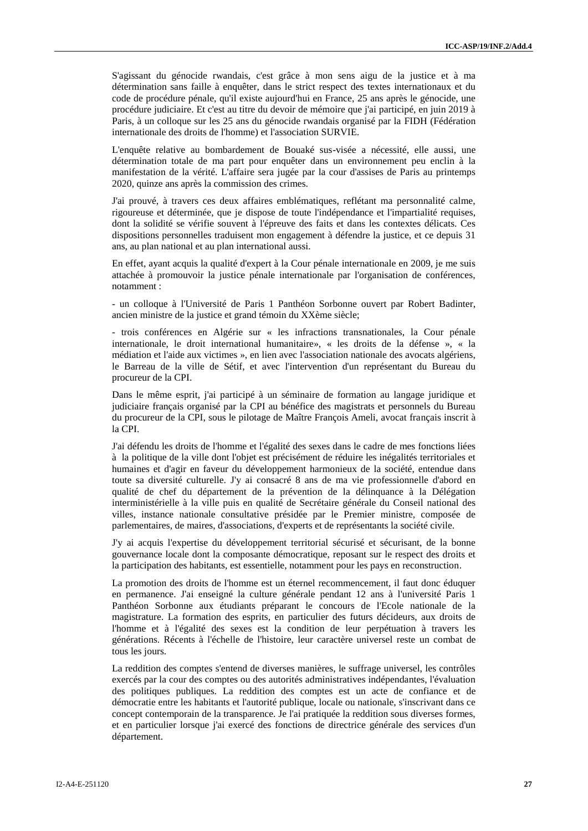S'agissant du génocide rwandais, c'est grâce à mon sens aigu de la justice et à ma détermination sans faille à enquêter, dans le strict respect des textes internationaux et du code de procédure pénale, qu'il existe aujourd'hui en France, 25 ans après le génocide, une procédure judiciaire. Et c'est au titre du devoir de mémoire que j'ai participé, en juin 2019 à Paris, à un colloque sur les 25 ans du génocide rwandais organisé par la FIDH (Fédération internationale des droits de l'homme) et l'association SURVIE.

L'enquête relative au bombardement de Bouaké sus-visée a nécessité, elle aussi, une détermination totale de ma part pour enquêter dans un environnement peu enclin à la manifestation de la vérité. L'affaire sera jugée par la cour d'assises de Paris au printemps 2020, quinze ans après la commission des crimes.

J'ai prouvé, à travers ces deux affaires emblématiques, reflétant ma personnalité calme, rigoureuse et déterminée, que je dispose de toute l'indépendance et l'impartialité requises, dont la solidité se vérifie souvent à l'épreuve des faits et dans les contextes délicats. Ces dispositions personnelles traduisent mon engagement à défendre la justice, et ce depuis 31 ans, au plan national et au plan international aussi.

En effet, ayant acquis la qualité d'expert à la Cour pénale internationale en 2009, je me suis attachée à promouvoir la justice pénale internationale par l'organisation de conférences, notamment :

- un colloque à l'Université de Paris 1 Panthéon Sorbonne ouvert par Robert Badinter, ancien ministre de la justice et grand témoin du XXème siècle;

- trois conférences en Algérie sur « les infractions transnationales, la Cour pénale internationale, le droit international humanitaire», « les droits de la défense », « la médiation et l'aide aux victimes », en lien avec l'association nationale des avocats algériens, le Barreau de la ville de Sétif, et avec l'intervention d'un représentant du Bureau du procureur de la CPI.

Dans le même esprit, j'ai participé à un séminaire de formation au langage juridique et judiciaire français organisé par la CPI au bénéfice des magistrats et personnels du Bureau du procureur de la CPI, sous le pilotage de Maître François Ameli, avocat français inscrit à la CPI.

J'ai défendu les droits de l'homme et l'égalité des sexes dans le cadre de mes fonctions liées à la politique de la ville dont l'objet est précisément de réduire les inégalités territoriales et humaines et d'agir en faveur du développement harmonieux de la société, entendue dans toute sa diversité culturelle. J'y ai consacré 8 ans de ma vie professionnelle d'abord en qualité de chef du département de la prévention de la délinquance à la Délégation interministérielle à la ville puis en qualité de Secrétaire générale du Conseil national des villes, instance nationale consultative présidée par le Premier ministre, composée de parlementaires, de maires, d'associations, d'experts et de représentants la société civile.

J'y ai acquis l'expertise du développement territorial sécurisé et sécurisant, de la bonne gouvernance locale dont la composante démocratique, reposant sur le respect des droits et la participation des habitants, est essentielle, notamment pour les pays en reconstruction.

La promotion des droits de l'homme est un éternel recommencement, il faut donc éduquer en permanence. J'ai enseigné la culture générale pendant 12 ans à l'université Paris 1 Panthéon Sorbonne aux étudiants préparant le concours de l'Ecole nationale de la magistrature. La formation des esprits, en particulier des futurs décideurs, aux droits de l'homme et à l'égalité des sexes est la condition de leur perpétuation à travers les générations. Récents à l'échelle de l'histoire, leur caractère universel reste un combat de tous les jours.

La reddition des comptes s'entend de diverses manières, le suffrage universel, les contrôles exercés par la cour des comptes ou des autorités administratives indépendantes, l'évaluation des politiques publiques. La reddition des comptes est un acte de confiance et de démocratie entre les habitants et l'autorité publique, locale ou nationale, s'inscrivant dans ce concept contemporain de la transparence. Je l'ai pratiquée la reddition sous diverses formes, et en particulier lorsque j'ai exercé des fonctions de directrice générale des services d'un département.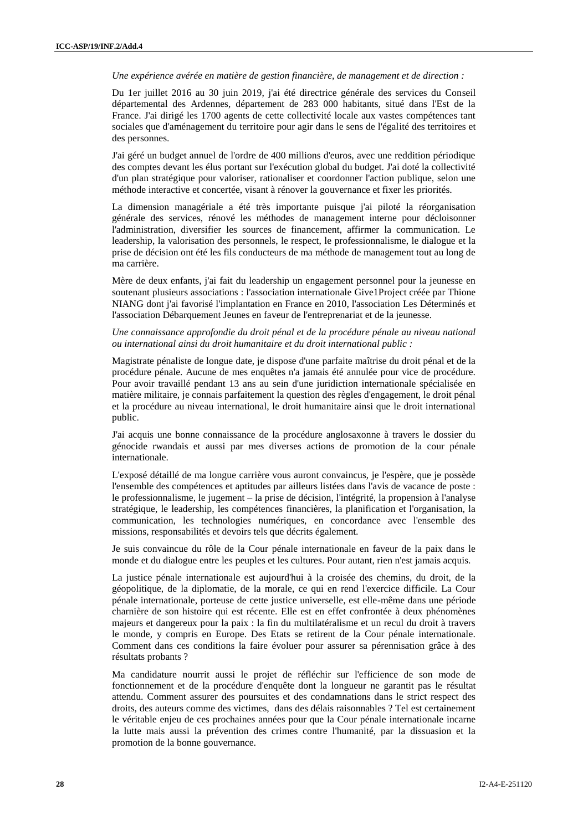*Une expérience avérée en matière de gestion financière, de management et de direction :*

Du 1er juillet 2016 au 30 juin 2019, j'ai été directrice générale des services du Conseil départemental des Ardennes, département de 283 000 habitants, situé dans l'Est de la France. J'ai dirigé les 1700 agents de cette collectivité locale aux vastes compétences tant sociales que d'aménagement du territoire pour agir dans le sens de l'égalité des territoires et des personnes.

J'ai géré un budget annuel de l'ordre de 400 millions d'euros, avec une reddition périodique des comptes devant les élus portant sur l'exécution global du budget. J'ai doté la collectivité d'un plan stratégique pour valoriser, rationaliser et coordonner l'action publique, selon une méthode interactive et concertée, visant à rénover la gouvernance et fixer les priorités.

La dimension managériale a été très importante puisque j'ai piloté la réorganisation générale des services, rénové les méthodes de management interne pour décloisonner l'administration, diversifier les sources de financement, affirmer la communication. Le leadership, la valorisation des personnels, le respect, le professionnalisme, le dialogue et la prise de décision ont été les fils conducteurs de ma méthode de management tout au long de ma carrière.

Mère de deux enfants, j'ai fait du leadership un engagement personnel pour la jeunesse en soutenant plusieurs associations : l'association internationale Give1Project créée par Thione NIANG dont j'ai favorisé l'implantation en France en 2010, l'association Les Déterminés et l'association Débarquement Jeunes en faveur de l'entreprenariat et de la jeunesse.

*Une connaissance approfondie du droit pénal et de la procédure pénale au niveau national ou international ainsi du droit humanitaire et du droit international public :*

Magistrate pénaliste de longue date, je dispose d'une parfaite maîtrise du droit pénal et de la procédure pénale. Aucune de mes enquêtes n'a jamais été annulée pour vice de procédure. Pour avoir travaillé pendant 13 ans au sein d'une juridiction internationale spécialisée en matière militaire, je connais parfaitement la question des règles d'engagement, le droit pénal et la procédure au niveau international, le droit humanitaire ainsi que le droit international public.

J'ai acquis une bonne connaissance de la procédure anglosaxonne à travers le dossier du génocide rwandais et aussi par mes diverses actions de promotion de la cour pénale internationale.

L'exposé détaillé de ma longue carrière vous auront convaincus, je l'espère, que je possède l'ensemble des compétences et aptitudes par ailleurs listées dans l'avis de vacance de poste : le professionnalisme, le jugement – la prise de décision, l'intégrité, la propension à l'analyse stratégique, le leadership, les compétences financières, la planification et l'organisation, la communication, les technologies numériques, en concordance avec l'ensemble des missions, responsabilités et devoirs tels que décrits également.

Je suis convaincue du rôle de la Cour pénale internationale en faveur de la paix dans le monde et du dialogue entre les peuples et les cultures. Pour autant, rien n'est jamais acquis.

La justice pénale internationale est aujourd'hui à la croisée des chemins, du droit, de la géopolitique, de la diplomatie, de la morale, ce qui en rend l'exercice difficile. La Cour pénale internationale, porteuse de cette justice universelle, est elle-même dans une période charnière de son histoire qui est récente. Elle est en effet confrontée à deux phénomènes majeurs et dangereux pour la paix : la fin du multilatéralisme et un recul du droit à travers le monde, y compris en Europe. Des Etats se retirent de la Cour pénale internationale. Comment dans ces conditions la faire évoluer pour assurer sa pérennisation grâce à des résultats probants ?

Ma candidature nourrit aussi le projet de réfléchir sur l'efficience de son mode de fonctionnement et de la procédure d'enquête dont la longueur ne garantit pas le résultat attendu. Comment assurer des poursuites et des condamnations dans le strict respect des droits, des auteurs comme des victimes, dans des délais raisonnables ? Tel est certainement le véritable enjeu de ces prochaines années pour que la Cour pénale internationale incarne la lutte mais aussi la prévention des crimes contre l'humanité, par la dissuasion et la promotion de la bonne gouvernance.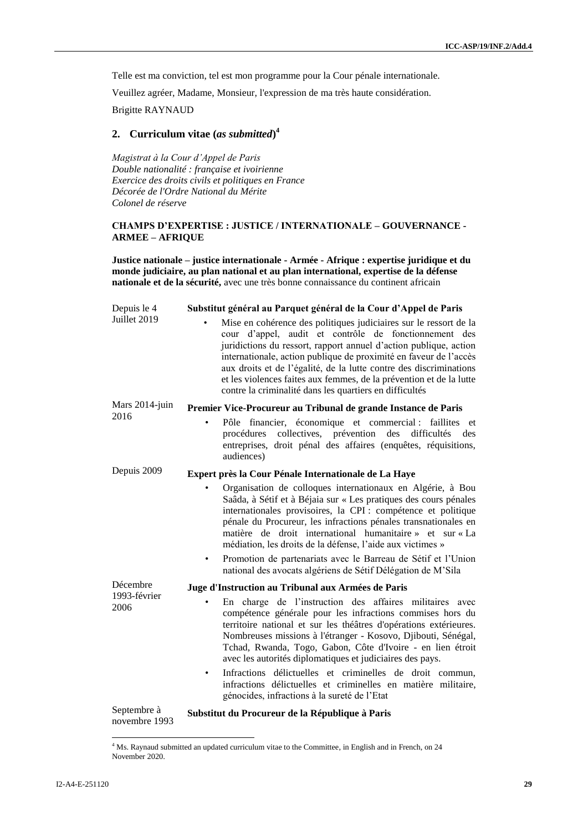Telle est ma conviction, tel est mon programme pour la Cour pénale internationale.

Veuillez agréer, Madame, Monsieur, l'expression de ma très haute considération.

Brigitte RAYNAUD

### **2. Curriculum vitae (***as submitted***) 4**

*Magistrat à la Cour d'Appel de Paris Double nationalité : française et ivoirienne Exercice des droits civils et politiques en France Décorée de l'Ordre National du Mérite Colonel de réserve*

#### **CHAMPS D'EXPERTISE : JUSTICE / INTERNATIONALE – GOUVERNANCE - ARMEE – AFRIQUE**

**Justice nationale – justice internationale - Armée - Afrique : expertise juridique et du monde judiciaire, au plan national et au plan international, expertise de la défense nationale et de la sécurité,** avec une très bonne connaissance du continent africain

| Depuis le 4                  | Substitut général au Parquet général de la Cour d'Appel de Paris                                                                                                                                                                                                                                                                                                                                                                                                                                                                   |
|------------------------------|------------------------------------------------------------------------------------------------------------------------------------------------------------------------------------------------------------------------------------------------------------------------------------------------------------------------------------------------------------------------------------------------------------------------------------------------------------------------------------------------------------------------------------|
| Juillet 2019                 | Mise en cohérence des politiques judiciaires sur le ressort de la<br>cour d'appel, audit et contrôle de fonctionnement des<br>juridictions du ressort, rapport annuel d'action publique, action<br>internationale, action publique de proximité en faveur de l'accès<br>aux droits et de l'égalité, de la lutte contre des discriminations<br>et les violences faites aux femmes, de la prévention et de la lutte<br>contre la criminalité dans les quartiers en difficultés                                                       |
| Mars 2014-juin               | Premier Vice-Procureur au Tribunal de grande Instance de Paris                                                                                                                                                                                                                                                                                                                                                                                                                                                                     |
| 2016                         | Pôle financier, économique et commercial : faillites et<br>$\bullet$<br>difficultés<br>procédures collectives, prévention<br>des<br>des<br>entreprises, droit pénal des affaires (enquêtes, réquisitions,<br>audiences)                                                                                                                                                                                                                                                                                                            |
| Depuis 2009                  | Expert près la Cour Pénale Internationale de La Haye                                                                                                                                                                                                                                                                                                                                                                                                                                                                               |
|                              | Organisation de colloques internationaux en Algérie, à Bou<br>Saâda, à Sétif et à Béjaia sur « Les pratiques des cours pénales<br>internationales provisoires, la CPI : compétence et politique<br>pénale du Procureur, les infractions pénales transnationales en<br>matière de droit international humanitaire » et sur « La<br>médiation, les droits de la défense, l'aide aux victimes »<br>Promotion de partenariats avec le Barreau de Sétif et l'Union<br>٠<br>national des avocats algériens de Sétif Délégation de M'Sila |
| Décembre                     | Juge d'Instruction au Tribunal aux Armées de Paris                                                                                                                                                                                                                                                                                                                                                                                                                                                                                 |
| 1993-février<br>2006         | En charge de l'instruction des affaires militaires avec<br>compétence générale pour les infractions commises hors du<br>territoire national et sur les théâtres d'opérations extérieures.<br>Nombreuses missions à l'étranger - Kosovo, Djibouti, Sénégal,<br>Tchad, Rwanda, Togo, Gabon, Côte d'Ivoire - en lien étroit<br>avec les autorités diplomatiques et judiciaires des pays.<br>Infractions délictuelles et criminelles de droit commun,<br>٠                                                                             |
|                              | infractions délictuelles et criminelles en matière militaire,<br>génocides, infractions à la sureté de l'Etat                                                                                                                                                                                                                                                                                                                                                                                                                      |
| Septembre à<br>novembre 1993 | Substitut du Procureur de la République à Paris                                                                                                                                                                                                                                                                                                                                                                                                                                                                                    |

 $\overline{a}$ 

<sup>&</sup>lt;sup>4</sup> Ms. Raynaud submitted an updated curriculum vitae to the Committee, in English and in French, on 24 November 2020.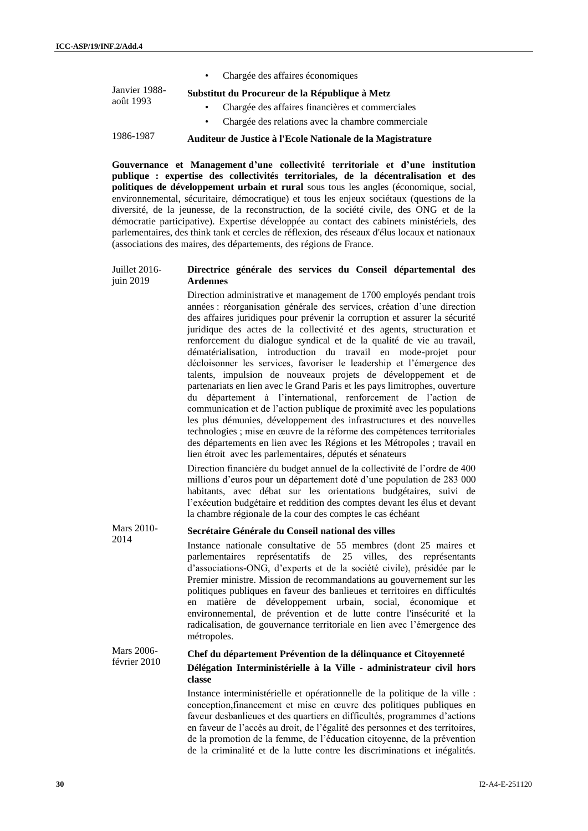|               | • Chargée des affaires économiques                         |
|---------------|------------------------------------------------------------|
| Janvier 1988- | Substitut du Procureur de la République à Metz             |
| août 1993     | Chargée des affaires financières et commerciales           |
|               | Chargée des relations avec la chambre commerciale          |
| 1986-1987     | Auditeur de Justice à l'Ecole Nationale de la Magistrature |

**Gouvernance et Management d'une collectivité territoriale et d'une institution publique : expertise des collectivités territoriales, de la décentralisation et des politiques de développement urbain et rural** sous tous les angles (économique, social, environnemental, sécuritaire, démocratique) et tous les enjeux sociétaux (questions de la diversité, de la jeunesse, de la reconstruction, de la société civile, des ONG et de la démocratie participative). Expertise développée au contact des cabinets ministériels, des parlementaires, des think tank et cercles de réflexion, des réseaux d'élus locaux et nationaux (associations des maires, des départements, des régions de France.

#### Juillet 2016 juin 2019 **Directrice générale des services du Conseil départemental des Ardennes**

Direction administrative et management de 1700 employés pendant trois années : réorganisation générale des services, création d'une direction des affaires juridiques pour prévenir la corruption et assurer la sécurité juridique des actes de la collectivité et des agents, structuration et renforcement du dialogue syndical et de la qualité de vie au travail, dématérialisation, introduction du travail en mode-projet pour décloisonner les services, favoriser le leadership et l'émergence des talents, impulsion de nouveaux projets de développement et de partenariats en lien avec le Grand Paris et les pays limitrophes, ouverture du département à l'international, renforcement de l'action de communication et de l'action publique de proximité avec les populations les plus démunies, développement des infrastructures et des nouvelles technologies ; mise en œuvre de la réforme des compétences territoriales des départements en lien avec les Régions et les Métropoles ; travail en lien étroit avec les parlementaires, députés et sénateurs

Direction financière du budget annuel de la collectivité de l'ordre de 400 millions d'euros pour un département doté d'une population de 283 000 habitants, avec débat sur les orientations budgétaires, suivi de l'exécution budgétaire et reddition des comptes devant les élus et devant la chambre régionale de la cour des comptes le cas échéant

#### 2014 **Secrétaire Générale du Conseil national des villes** Instance nationale consultative de 55 membres (dont 25 maires et parlementaires représentatifs de 25 villes, des représentants d'associations-ONG, d'experts et de la société civile), présidée par le Premier ministre. Mission de recommandations au gouvernement sur les politiques publiques en faveur des banlieues et territoires en difficultés en matière de développement urbain, social, économique et environnemental, de prévention et de lutte contre l'insécurité et la radicalisation, de gouvernance territoriale en lien avec l'émergence des métropoles.

#### Mars 2006 février 2010 **Chef du département Prévention de la délinquance et Citoyenneté Délégation Interministérielle à la Ville - administrateur civil hors classe**

Instance interministérielle et opérationnelle de la politique de la ville : conception,financement et mise en œuvre des politiques publiques en faveur desbanlieues et des quartiers en difficultés, programmes d'actions en faveur de l'accès au droit, de l'égalité des personnes et des territoires, de la promotion de la femme, de l'éducation citoyenne, de la prévention de la criminalité et de la lutte contre les discriminations et inégalités.

Mars 2010-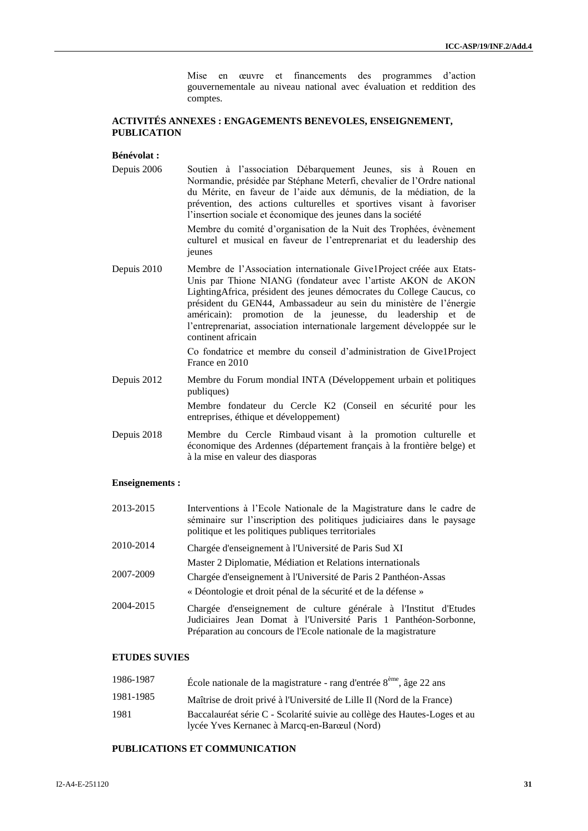Mise en œuvre et financements des programmes d'action gouvernementale au niveau national avec évaluation et reddition des comptes.

#### **ACTIVITÉS ANNEXES : ENGAGEMENTS BENEVOLES, ENSEIGNEMENT, PUBLICATION**

#### **Bénévolat :**

Depuis 2006 Soutien à l'association Débarquement Jeunes, sis à Rouen en Normandie, présidée par Stéphane Meterfi, chevalier de l'Ordre national du Mérite, en faveur de l'aide aux démunis, de la médiation, de la prévention, des actions culturelles et sportives visant à favoriser l'insertion sociale et économique des jeunes dans la société

> Membre du comité d'organisation de la Nuit des Trophées, évènement culturel et musical en faveur de l'entreprenariat et du leadership des jeunes

Depuis 2010 Membre de l'Association internationale Give1Project créée aux Etats-Unis par Thione NIANG (fondateur avec l'artiste AKON de AKON LightingAfrica, président des jeunes démocrates du College Caucus, co président du GEN44, Ambassadeur au sein du ministère de l'énergie américain): promotion de la jeunesse, du leadership et de l'entreprenariat, association internationale largement développée sur le continent africain

> Co fondatrice et membre du conseil d'administration de Give1Project France en 2010

Depuis 2012 Membre du Forum mondial INTA (Développement urbain et politiques publiques)

> Membre fondateur du Cercle K2 (Conseil en sécurité pour les entreprises, éthique et développement)

Depuis 2018 Membre du Cercle Rimbaud visant à la promotion culturelle et économique des Ardennes (département français à la frontière belge) et à la mise en valeur des diasporas

#### **Enseignements :**

| 2013-2015 | Interventions à l'Ecole Nationale de la Magistrature dans le cadre de<br>séminaire sur l'inscription des politiques judiciaires dans le paysage<br>politique et les politiques publiques territoriales  |
|-----------|---------------------------------------------------------------------------------------------------------------------------------------------------------------------------------------------------------|
| 2010-2014 | Chargée d'enseignement à l'Université de Paris Sud XI                                                                                                                                                   |
|           | Master 2 Diplomatie, Médiation et Relations internationals                                                                                                                                              |
| 2007-2009 | Chargée d'enseignement à l'Université de Paris 2 Panthéon-Assas                                                                                                                                         |
|           | « Déontologie et droit pénal de la sécurité et de la défense »                                                                                                                                          |
| 2004-2015 | Chargée d'enseignement de culture générale à l'Institut d'Etudes<br>Judiciaires Jean Domat à l'Université Paris 1 Panthéon-Sorbonne,<br>Préparation au concours de l'Ecole nationale de la magistrature |

#### **ETUDES SUVIES**

| 1986-1987 | École nationale de la magistrature - rang d'entrée $8^{\text{eme}}$ , âge 22 ans                                          |
|-----------|---------------------------------------------------------------------------------------------------------------------------|
| 1981-1985 | Maîtrise de droit privé à l'Université de Lille II (Nord de la France)                                                    |
| 1981      | Baccalauréat série C - Scolarité suivie au collège des Hautes-Loges et au<br>lycée Yves Kernanec à Marcq-en-Barœul (Nord) |

#### **PUBLICATIONS ET COMMUNICATION**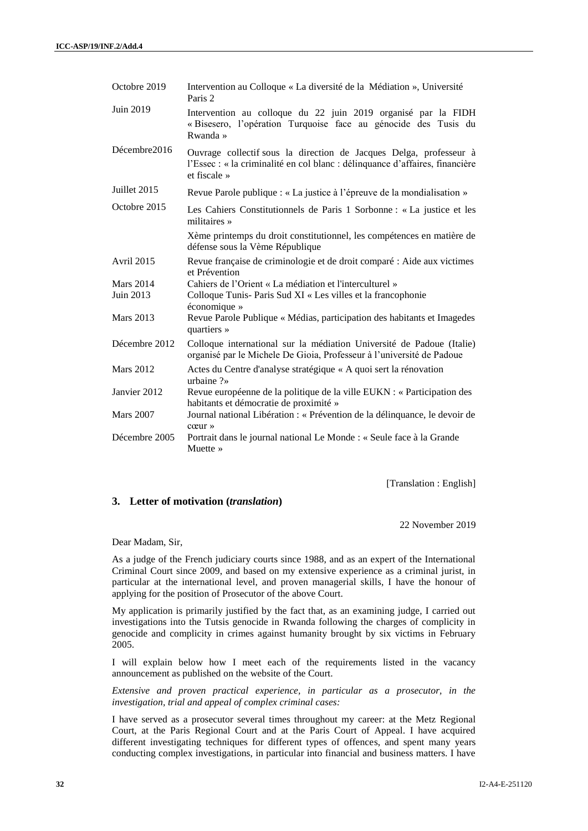| Octobre 2019     | Intervention au Colloque « La diversité de la Médiation », Université<br>Paris 2                                                                                   |
|------------------|--------------------------------------------------------------------------------------------------------------------------------------------------------------------|
| Juin 2019        | Intervention au colloque du 22 juin 2019 organisé par la FIDH<br>« Bisesero, l'opération Turquoise face au génocide des Tusis du<br>Rwanda »                       |
| Décembre2016     | Ouvrage collectif sous la direction de Jacques Delga, professeur à<br>l'Essec : « la criminalité en col blanc : délinquance d'affaires, financière<br>et fiscale » |
| Juillet 2015     | Revue Parole publique : « La justice à l'épreuve de la mondialisation »                                                                                            |
| Octobre 2015     | Les Cahiers Constitutionnels de Paris 1 Sorbonne : « La justice et les<br>militaires $\ast$                                                                        |
|                  | Xème printemps du droit constitutionnel, les compétences en matière de<br>défense sous la Vème République                                                          |
| Avril 2015       | Revue française de criminologie et de droit comparé : Aide aux victimes<br>et Prévention                                                                           |
| <b>Mars 2014</b> | Cahiers de l'Orient « La médiation et l'interculturel »                                                                                                            |
| Juin 2013        | Colloque Tunis- Paris Sud XI « Les villes et la francophonie<br>économique »                                                                                       |
| <b>Mars 2013</b> | Revue Parole Publique « Médias, participation des habitants et Imagedes<br>quartiers »                                                                             |
| Décembre 2012    | Colloque international sur la médiation Université de Padoue (Italie)<br>organisé par le Michele De Gioia, Professeur à l'université de Padoue                     |
| <b>Mars 2012</b> | Actes du Centre d'analyse stratégique « A quoi sert la rénovation<br>urbaine $?$                                                                                   |
| Janvier 2012     | Revue européenne de la politique de la ville EUKN : « Participation des<br>habitants et démocratie de proximité »                                                  |
| <b>Mars 2007</b> | Journal national Libération : « Prévention de la délinquance, le devoir de<br>$ccur \rightarrow$                                                                   |
| Décembre 2005    | Portrait dans le journal national Le Monde : « Seule face à la Grande<br>Muette »                                                                                  |

[Translation : English]

#### **3. Letter of motivation (***translation***)**

22 November 2019

Dear Madam, Sir,

As a judge of the French judiciary courts since 1988, and as an expert of the International Criminal Court since 2009, and based on my extensive experience as a criminal jurist, in particular at the international level, and proven managerial skills, I have the honour of applying for the position of Prosecutor of the above Court.

My application is primarily justified by the fact that, as an examining judge, I carried out investigations into the Tutsis genocide in Rwanda following the charges of complicity in genocide and complicity in crimes against humanity brought by six victims in February 2005.

I will explain below how I meet each of the requirements listed in the vacancy announcement as published on the website of the Court.

*Extensive and proven practical experience, in particular as a prosecutor, in the investigation, trial and appeal of complex criminal cases:*

I have served as a prosecutor several times throughout my career: at the Metz Regional Court, at the Paris Regional Court and at the Paris Court of Appeal. I have acquired different investigating techniques for different types of offences, and spent many years conducting complex investigations, in particular into financial and business matters. I have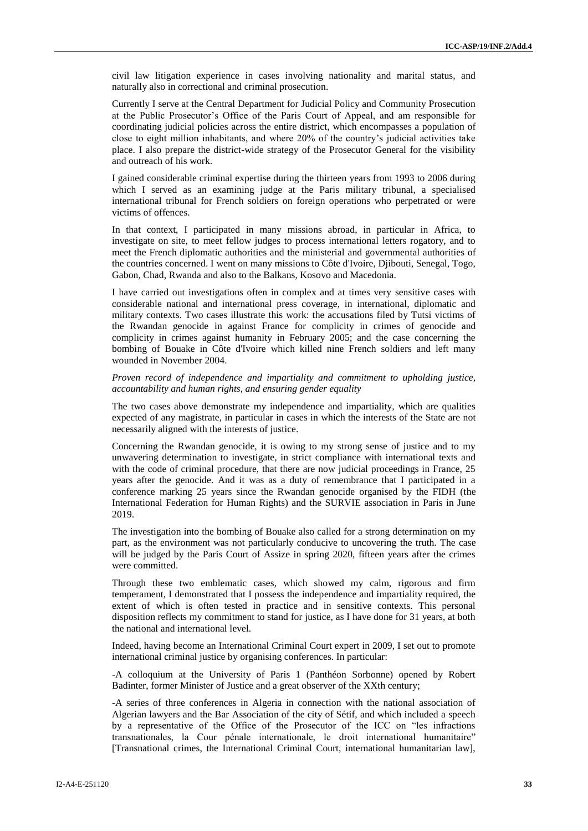civil law litigation experience in cases involving nationality and marital status, and naturally also in correctional and criminal prosecution.

Currently I serve at the Central Department for Judicial Policy and Community Prosecution at the Public Prosecutor's Office of the Paris Court of Appeal, and am responsible for coordinating judicial policies across the entire district, which encompasses a population of close to eight million inhabitants, and where 20% of the country's judicial activities take place. I also prepare the district-wide strategy of the Prosecutor General for the visibility and outreach of his work.

I gained considerable criminal expertise during the thirteen years from 1993 to 2006 during which I served as an examining judge at the Paris military tribunal, a specialised international tribunal for French soldiers on foreign operations who perpetrated or were victims of offences.

In that context, I participated in many missions abroad, in particular in Africa, to investigate on site, to meet fellow judges to process international letters rogatory, and to meet the French diplomatic authorities and the ministerial and governmental authorities of the countries concerned. I went on many missions to Côte d'Ivoire, Djibouti, Senegal, Togo, Gabon, Chad, Rwanda and also to the Balkans, Kosovo and Macedonia.

I have carried out investigations often in complex and at times very sensitive cases with considerable national and international press coverage, in international, diplomatic and military contexts. Two cases illustrate this work: the accusations filed by Tutsi victims of the Rwandan genocide in against France for complicity in crimes of genocide and complicity in crimes against humanity in February 2005; and the case concerning the bombing of Bouake in Côte d'Ivoire which killed nine French soldiers and left many wounded in November 2004.

*Proven record of independence and impartiality and commitment to upholding justice, accountability and human rights, and ensuring gender equality*

The two cases above demonstrate my independence and impartiality, which are qualities expected of any magistrate, in particular in cases in which the interests of the State are not necessarily aligned with the interests of justice.

Concerning the Rwandan genocide, it is owing to my strong sense of justice and to my unwavering determination to investigate, in strict compliance with international texts and with the code of criminal procedure, that there are now judicial proceedings in France, 25 years after the genocide. And it was as a duty of remembrance that I participated in a conference marking 25 years since the Rwandan genocide organised by the FIDH (the International Federation for Human Rights) and the SURVIE association in Paris in June 2019.

The investigation into the bombing of Bouake also called for a strong determination on my part, as the environment was not particularly conducive to uncovering the truth. The case will be judged by the Paris Court of Assize in spring 2020, fifteen years after the crimes were committed.

Through these two emblematic cases, which showed my calm, rigorous and firm temperament, I demonstrated that I possess the independence and impartiality required, the extent of which is often tested in practice and in sensitive contexts. This personal disposition reflects my commitment to stand for justice, as I have done for 31 years, at both the national and international level.

Indeed, having become an International Criminal Court expert in 2009, I set out to promote international criminal justice by organising conferences. In particular:

-A colloquium at the University of Paris 1 (Panthéon Sorbonne) opened by Robert Badinter, former Minister of Justice and a great observer of the XXth century;

-A series of three conferences in Algeria in connection with the national association of Algerian lawyers and the Bar Association of the city of Sétif, and which included a speech by a representative of the Office of the Prosecutor of the ICC on "les infractions transnationales, la Cour pénale internationale, le droit international humanitaire" [Transnational crimes, the International Criminal Court, international humanitarian law],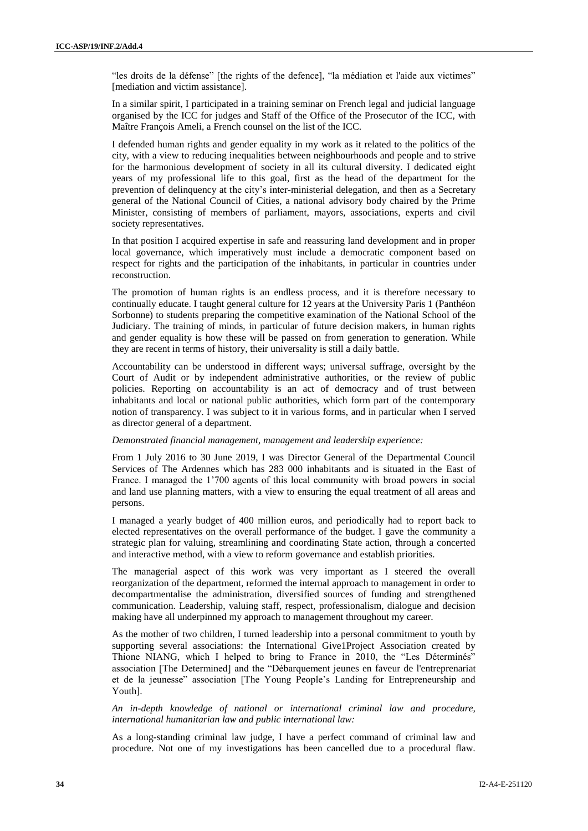"les droits de la défense" [the rights of the defence], "la médiation et l'aide aux victimes" [mediation and victim assistance].

In a similar spirit, I participated in a training seminar on French legal and judicial language organised by the ICC for judges and Staff of the Office of the Prosecutor of the ICC, with Maître François Ameli, a French counsel on the list of the ICC.

I defended human rights and gender equality in my work as it related to the politics of the city, with a view to reducing inequalities between neighbourhoods and people and to strive for the harmonious development of society in all its cultural diversity. I dedicated eight years of my professional life to this goal, first as the head of the department for the prevention of delinquency at the city's inter-ministerial delegation, and then as a Secretary general of the National Council of Cities, a national advisory body chaired by the Prime Minister, consisting of members of parliament, mayors, associations, experts and civil society representatives.

In that position I acquired expertise in safe and reassuring land development and in proper local governance, which imperatively must include a democratic component based on respect for rights and the participation of the inhabitants, in particular in countries under reconstruction.

The promotion of human rights is an endless process, and it is therefore necessary to continually educate. I taught general culture for 12 years at the University Paris 1 (Panthéon Sorbonne) to students preparing the competitive examination of the National School of the Judiciary. The training of minds, in particular of future decision makers, in human rights and gender equality is how these will be passed on from generation to generation. While they are recent in terms of history, their universality is still a daily battle.

Accountability can be understood in different ways; universal suffrage, oversight by the Court of Audit or by independent administrative authorities, or the review of public policies. Reporting on accountability is an act of democracy and of trust between inhabitants and local or national public authorities, which form part of the contemporary notion of transparency. I was subject to it in various forms, and in particular when I served as director general of a department.

#### *Demonstrated financial management, management and leadership experience:*

From 1 July 2016 to 30 June 2019, I was Director General of the Departmental Council Services of The Ardennes which has 283 000 inhabitants and is situated in the East of France. I managed the 1'700 agents of this local community with broad powers in social and land use planning matters, with a view to ensuring the equal treatment of all areas and persons.

I managed a yearly budget of 400 million euros, and periodically had to report back to elected representatives on the overall performance of the budget. I gave the community a strategic plan for valuing, streamlining and coordinating State action, through a concerted and interactive method, with a view to reform governance and establish priorities.

The managerial aspect of this work was very important as I steered the overall reorganization of the department, reformed the internal approach to management in order to decompartmentalise the administration, diversified sources of funding and strengthened communication. Leadership, valuing staff, respect, professionalism, dialogue and decision making have all underpinned my approach to management throughout my career.

As the mother of two children, I turned leadership into a personal commitment to youth by supporting several associations: the International Give1Project Association created by Thione NIANG, which I helped to bring to France in 2010, the "Les Déterminés" association [The Determined] and the "Débarquement jeunes en faveur de l'entreprenariat et de la jeunesse" association [The Young People's Landing for Entrepreneurship and Youth].

*An in-depth knowledge of national or international criminal law and procedure, international humanitarian law and public international law:*

As a long-standing criminal law judge, I have a perfect command of criminal law and procedure. Not one of my investigations has been cancelled due to a procedural flaw.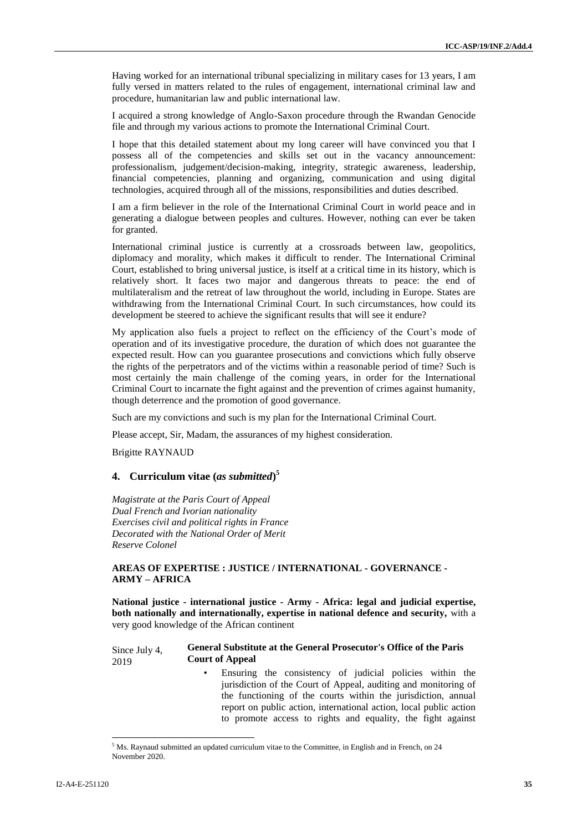Having worked for an international tribunal specializing in military cases for 13 years, I am fully versed in matters related to the rules of engagement, international criminal law and procedure, humanitarian law and public international law.

I acquired a strong knowledge of Anglo-Saxon procedure through the Rwandan Genocide file and through my various actions to promote the International Criminal Court.

I hope that this detailed statement about my long career will have convinced you that I possess all of the competencies and skills set out in the vacancy announcement: professionalism, judgement/decision-making, integrity, strategic awareness, leadership, financial competencies, planning and organizing, communication and using digital technologies, acquired through all of the missions, responsibilities and duties described.

I am a firm believer in the role of the International Criminal Court in world peace and in generating a dialogue between peoples and cultures. However, nothing can ever be taken for granted.

International criminal justice is currently at a crossroads between law, geopolitics, diplomacy and morality, which makes it difficult to render. The International Criminal Court, established to bring universal justice, is itself at a critical time in its history, which is relatively short. It faces two major and dangerous threats to peace: the end of multilateralism and the retreat of law throughout the world, including in Europe. States are withdrawing from the International Criminal Court. In such circumstances, how could its development be steered to achieve the significant results that will see it endure?

My application also fuels a project to reflect on the efficiency of the Court's mode of operation and of its investigative procedure, the duration of which does not guarantee the expected result. How can you guarantee prosecutions and convictions which fully observe the rights of the perpetrators and of the victims within a reasonable period of time? Such is most certainly the main challenge of the coming years, in order for the International Criminal Court to incarnate the fight against and the prevention of crimes against humanity, though deterrence and the promotion of good governance.

Such are my convictions and such is my plan for the International Criminal Court.

Please accept, Sir, Madam, the assurances of my highest consideration.

Brigitte RAYNAUD

### **4. Curriculum vitae (***as submitted***) 5**

*Magistrate at the Paris Court of Appeal Dual French and Ivorian nationality Exercises civil and political rights in France Decorated with the National Order of Merit Reserve Colonel*

#### **AREAS OF EXPERTISE : JUSTICE / INTERNATIONAL - GOVERNANCE - ARMY – AFRICA**

**National justice - international justice - Army - Africa: legal and judicial expertise, both nationally and internationally, expertise in national defence and security,** with a very good knowledge of the African continent

#### Since July 4, 2019 **General Substitute at the General Prosecutor's Office of the Paris Court of Appeal**

Ensuring the consistency of judicial policies within the jurisdiction of the Court of Appeal, auditing and monitoring of the functioning of the courts within the jurisdiction, annual report on public action, international action, local public action to promote access to rights and equality, the fight against

 $\overline{a}$ 

<sup>5</sup> Ms. Raynaud submitted an updated curriculum vitae to the Committee, in English and in French, on 24 November 2020.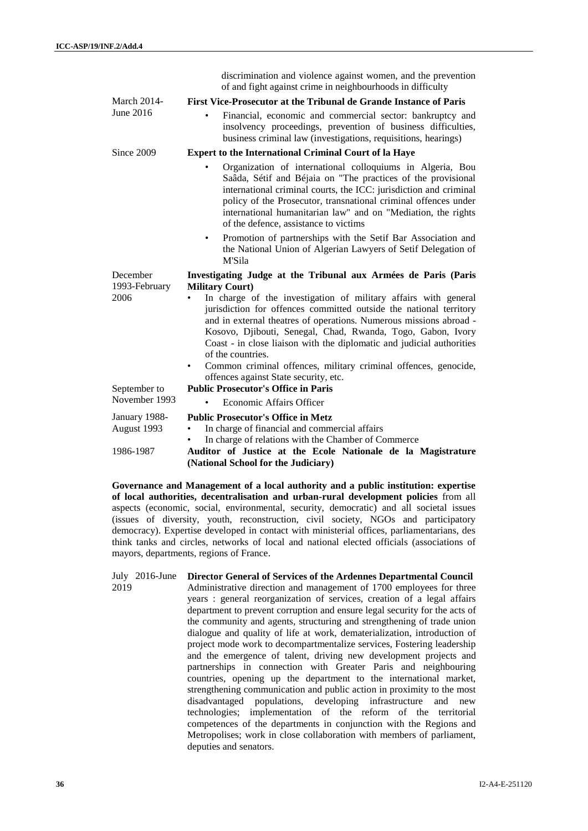|                           | discrimination and violence against women, and the prevention<br>of and fight against crime in neighbourhoods in difficulty                                                                                                                                                                                                                                                                                                                      |
|---------------------------|--------------------------------------------------------------------------------------------------------------------------------------------------------------------------------------------------------------------------------------------------------------------------------------------------------------------------------------------------------------------------------------------------------------------------------------------------|
| <b>March 2014-</b>        | First Vice-Prosecutor at the Tribunal de Grande Instance of Paris                                                                                                                                                                                                                                                                                                                                                                                |
| June 2016                 | Financial, economic and commercial sector: bankruptcy and<br>insolvency proceedings, prevention of business difficulties,<br>business criminal law (investigations, requisitions, hearings)                                                                                                                                                                                                                                                      |
| Since 2009                | <b>Expert to the International Criminal Court of la Haye</b>                                                                                                                                                                                                                                                                                                                                                                                     |
|                           | Organization of international colloquiums in Algeria, Bou<br>Saâda, Sétif and Béjaia on "The practices of the provisional<br>international criminal courts, the ICC: jurisdiction and criminal<br>policy of the Prosecutor, transnational criminal offences under<br>international humanitarian law" and on "Mediation, the rights<br>of the defence, assistance to victims                                                                      |
|                           | Promotion of partnerships with the Setif Bar Association and<br>٠<br>the National Union of Algerian Lawyers of Setif Delegation of<br>M'Sila                                                                                                                                                                                                                                                                                                     |
| December<br>1993-February | Investigating Judge at the Tribunal aux Armées de Paris (Paris<br><b>Military Court)</b>                                                                                                                                                                                                                                                                                                                                                         |
|                           |                                                                                                                                                                                                                                                                                                                                                                                                                                                  |
| 2006                      | In charge of the investigation of military affairs with general<br>٠<br>jurisdiction for offences committed outside the national territory<br>and in external theatres of operations. Numerous missions abroad -<br>Kosovo, Djibouti, Senegal, Chad, Rwanda, Togo, Gabon, Ivory<br>Coast - in close liaison with the diplomatic and judicial authorities<br>of the countries.<br>Common criminal offences, military criminal offences, genocide, |
| September to              | offences against State security, etc.<br><b>Public Prosecutor's Office in Paris</b>                                                                                                                                                                                                                                                                                                                                                              |
| November 1993             | Economic Affairs Officer                                                                                                                                                                                                                                                                                                                                                                                                                         |
| January 1988-             | <b>Public Prosecutor's Office in Metz</b>                                                                                                                                                                                                                                                                                                                                                                                                        |
| August 1993               | In charge of financial and commercial affairs                                                                                                                                                                                                                                                                                                                                                                                                    |
| 1986-1987                 | In charge of relations with the Chamber of Commerce<br>Auditor of Justice at the Ecole Nationale de la Magistrature<br>(National School for the Judiciary)                                                                                                                                                                                                                                                                                       |

**Governance and Management of a local authority and a public institution: expertise of local authorities, decentralisation and urban-rural development policies** from all aspects (economic, social, environmental, security, democratic) and all societal issues (issues of diversity, youth, reconstruction, civil society, NGOs and participatory democracy). Expertise developed in contact with ministerial offices, parliamentarians, des think tanks and circles, networks of local and national elected officials (associations of mayors, departments, regions of France.

July 2016-June 2019 **Director General of Services of the Ardennes Departmental Council** Administrative direction and management of 1700 employees for three years : general reorganization of services, creation of a legal affairs department to prevent corruption and ensure legal security for the acts of the community and agents, structuring and strengthening of trade union dialogue and quality of life at work, dematerialization, introduction of project mode work to decompartmentalize services, Fostering leadership and the emergence of talent, driving new development projects and partnerships in connection with Greater Paris and neighbouring countries, opening up the department to the international market, strengthening communication and public action in proximity to the most disadvantaged populations, developing infrastructure and new technologies; implementation of the reform of the territorial competences of the departments in conjunction with the Regions and Metropolises; work in close collaboration with members of parliament, deputies and senators.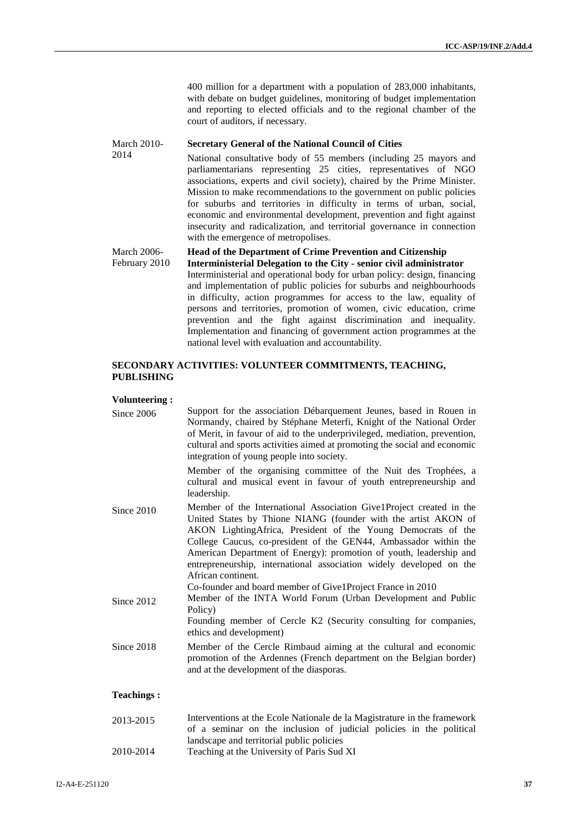400 million for a department with a population of 283,000 inhabitants, with debate on budget guidelines, monitoring of budget implementation and reporting to elected officials and to the regional chamber of the court of auditors, if necessary.

#### March 2010- **Secretary General of the National Council of Cities**

National consultative body of 55 members (including 25 mayors and parliamentarians representing 25 cities, representatives of NGO associations, experts and civil society), chaired by the Prime Minister. Mission to make recommendations to the government on public policies for suburbs and territories in difficulty in terms of urban, social, economic and environmental development, prevention and fight against insecurity and radicalization, and territorial governance in connection with the emergence of metropolises.

#### March 2006- February 2010 **Head of the Department of Crime Prevention and Citizenship Interministerial Delegation to the City - senior civil administrator** Interministerial and operational body for urban policy: design, financing and implementation of public policies for suburbs and neighbourhoods in difficulty, action programmes for access to the law, equality of

persons and territories, promotion of women, civic education, crime prevention and the fight against discrimination and inequality. Implementation and financing of government action programmes at the national level with evaluation and accountability.

#### **SECONDARY ACTIVITIES: VOLUNTEER COMMITMENTS, TEACHING, PUBLISHING**

#### **Volunteering :**

2014

| Since 2006        | Support for the association Débarquement Jeunes, based in Rouen in<br>Normandy, chaired by Stéphane Meterfi, Knight of the National Order<br>of Merit, in favour of aid to the underprivileged, mediation, prevention,<br>cultural and sports activities aimed at promoting the social and economic<br>integration of young people into society.                                                                                              |
|-------------------|-----------------------------------------------------------------------------------------------------------------------------------------------------------------------------------------------------------------------------------------------------------------------------------------------------------------------------------------------------------------------------------------------------------------------------------------------|
|                   | Member of the organising committee of the Nuit des Trophées, a<br>cultural and musical event in favour of youth entrepreneurship and<br>leadership.                                                                                                                                                                                                                                                                                           |
| Since 2010        | Member of the International Association Give1Project created in the<br>United States by Thione NIANG (founder with the artist AKON of<br>AKON Lighting Africa, President of the Young Democrats of the<br>College Caucus, co-president of the GEN44, Ambassador within the<br>American Department of Energy): promotion of youth, leadership and<br>entrepreneurship, international association widely developed on the<br>African continent. |
| Since 2012        | Co-founder and board member of Give1Project France in 2010<br>Member of the INTA World Forum (Urban Development and Public<br>Policy)<br>Founding member of Cercle K2 (Security consulting for companies,<br>ethics and development)                                                                                                                                                                                                          |
| Since 2018        | Member of the Cercle Rimbaud aiming at the cultural and economic<br>promotion of the Ardennes (French department on the Belgian border)<br>and at the development of the diasporas.                                                                                                                                                                                                                                                           |
| <b>Teachings:</b> |                                                                                                                                                                                                                                                                                                                                                                                                                                               |
| 2013-2015         | Interventions at the Ecole Nationale de la Magistrature in the framework                                                                                                                                                                                                                                                                                                                                                                      |

- of a seminar on the inclusion of judicial policies in the political landscape and territorial public policies
- 2010-2014 Teaching at the University of Paris Sud XI